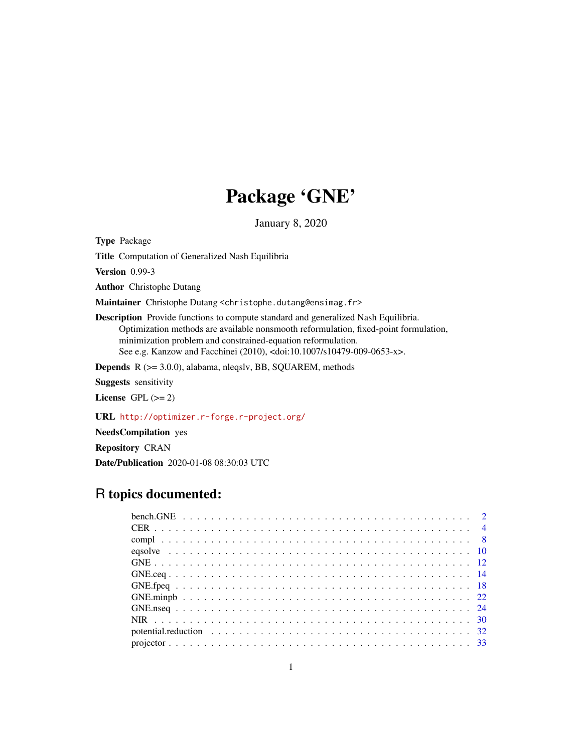# Package 'GNE'

January 8, 2020

<span id="page-0-0"></span>Type Package

Title Computation of Generalized Nash Equilibria

Version 0.99-3

Author Christophe Dutang

Maintainer Christophe Dutang <christophe.dutang@ensimag.fr>

Description Provide functions to compute standard and generalized Nash Equilibria. Optimization methods are available nonsmooth reformulation, fixed-point formulation, minimization problem and constrained-equation reformulation. See e.g. Kanzow and Facchinei (2010), <doi:10.1007/s10479-009-0653-x>.

Depends R (>= 3.0.0), alabama, nleqslv, BB, SQUAREM, methods

Suggests sensitivity

License GPL  $(>= 2)$ 

URL <http://optimizer.r-forge.r-project.org/>

NeedsCompilation yes

Repository CRAN

Date/Publication 2020-01-08 08:30:03 UTC

# R topics documented: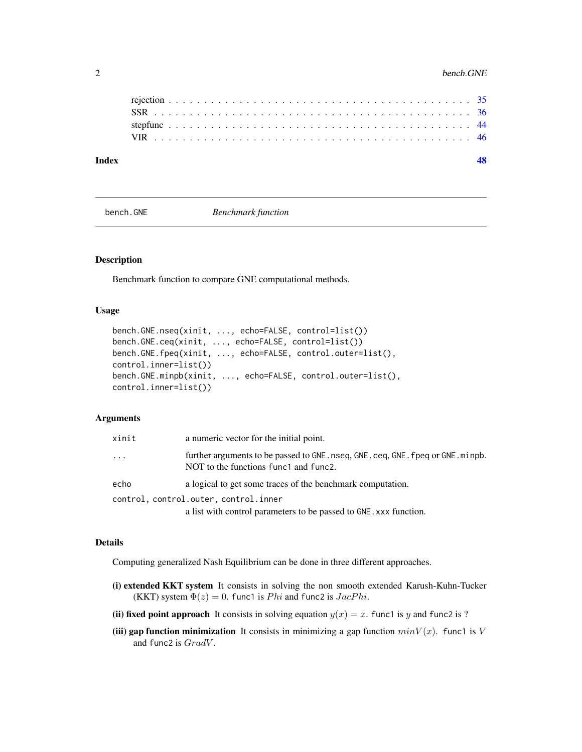<span id="page-1-0"></span>

| Index |  |  |  |  |  |  |  |  |  |  |  |  |  |  |  |  |  |  |  |  |  |  |  |
|-------|--|--|--|--|--|--|--|--|--|--|--|--|--|--|--|--|--|--|--|--|--|--|--|
|       |  |  |  |  |  |  |  |  |  |  |  |  |  |  |  |  |  |  |  |  |  |  |  |
|       |  |  |  |  |  |  |  |  |  |  |  |  |  |  |  |  |  |  |  |  |  |  |  |
|       |  |  |  |  |  |  |  |  |  |  |  |  |  |  |  |  |  |  |  |  |  |  |  |
|       |  |  |  |  |  |  |  |  |  |  |  |  |  |  |  |  |  |  |  |  |  |  |  |

<span id="page-1-1"></span>bench.GNE *Benchmark function*

#### Description

Benchmark function to compare GNE computational methods.

#### Usage

```
bench.GNE.nseq(xinit, ..., echo=FALSE, control=list())
bench.GNE.ceq(xinit, ..., echo=FALSE, control=list())
bench.GNE.fpeq(xinit, ..., echo=FALSE, control.outer=list(),
control.inner=list())
bench.GNE.minpb(xinit, ..., echo=FALSE, control.outer=list(),
control.inner=list())
```
#### Arguments

| xinit | a numeric vector for the initial point.                                                                                                |
|-------|----------------------------------------------------------------------------------------------------------------------------------------|
| .     | further arguments to be passed to GNE. nseq, GNE. ceq, GNE. fpeq or GNE. minpb.<br>NOT to the functions functl and func <sub>2</sub> . |
| echo  | a logical to get some traces of the benchmark computation.                                                                             |
|       | control, control.outer, control.inner                                                                                                  |
|       | a list with control parameters to be passed to GNE. xxx function.                                                                      |

#### Details

Computing generalized Nash Equilibrium can be done in three different approaches.

- (i) extended KKT system It consists in solving the non smooth extended Karush-Kuhn-Tucker (KKT) system  $\Phi(z) = 0$ . func1 is *Phi* and func2 is *JacPhi*.
- (ii) fixed point approach It consists in solving equation  $y(x) = x$ . funct is y and func2 is ?
- (iii) gap function minimization It consists in minimizing a gap function  $minV(x)$ . funct is V and func2 is  $GradV$ .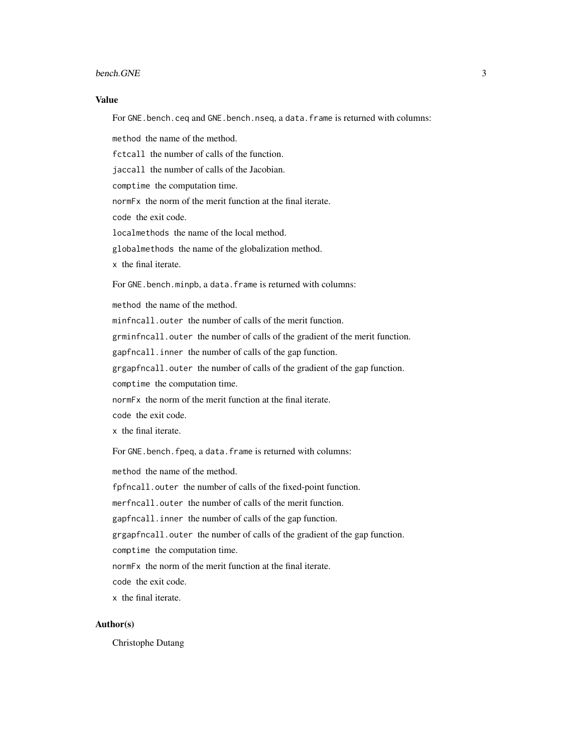#### bench.GNE 3

#### Value

For GNE.bench.ceq and GNE.bench.nseq, a data.frame is returned with columns:

method the name of the method.

fctcall the number of calls of the function.

jaccall the number of calls of the Jacobian.

comptime the computation time.

normFx the norm of the merit function at the final iterate.

code the exit code.

localmethods the name of the local method.

globalmethods the name of the globalization method.

x the final iterate.

For GNE.bench.minpb, a data.frame is returned with columns:

method the name of the method.

minfncall.outer the number of calls of the merit function.

grminfncall.outer the number of calls of the gradient of the merit function.

gapfncall.inner the number of calls of the gap function.

grgapfncall.outer the number of calls of the gradient of the gap function.

comptime the computation time.

normFx the norm of the merit function at the final iterate.

code the exit code.

x the final iterate.

For GNE.bench.fpeq, a data.frame is returned with columns:

method the name of the method.

fpfncall.outer the number of calls of the fixed-point function.

merfncall.outer the number of calls of the merit function.

gapfncall.inner the number of calls of the gap function.

grgapfncall.outer the number of calls of the gradient of the gap function.

comptime the computation time.

normFx the norm of the merit function at the final iterate.

code the exit code.

x the final iterate.

#### Author(s)

Christophe Dutang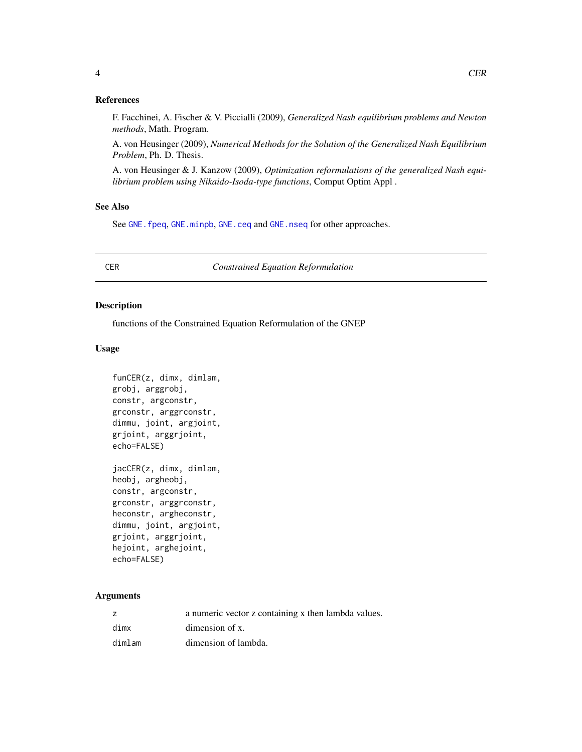#### <span id="page-3-0"></span>References

F. Facchinei, A. Fischer & V. Piccialli (2009), *Generalized Nash equilibrium problems and Newton methods*, Math. Program.

A. von Heusinger (2009), *Numerical Methods for the Solution of the Generalized Nash Equilibrium Problem*, Ph. D. Thesis.

A. von Heusinger & J. Kanzow (2009), *Optimization reformulations of the generalized Nash equilibrium problem using Nikaido-Isoda-type functions*, Comput Optim Appl .

# See Also

See [GNE.fpeq](#page-17-1), [GNE.minpb](#page-21-1), [GNE.ceq](#page-13-1) and [GNE.nseq](#page-23-1) for other approaches.

CER *Constrained Equation Reformulation*

#### <span id="page-3-1"></span>Description

functions of the Constrained Equation Reformulation of the GNEP

# Usage

```
funCER(z, dimx, dimlam,
grobj, arggrobj,
constr, argconstr,
grconstr, arggrconstr,
dimmu, joint, argjoint,
grjoint, arggrjoint,
echo=FALSE)
jacCER(z, dimx, dimlam,
```

```
heobj, argheobj,
constr, argconstr,
grconstr, arggrconstr,
heconstr, argheconstr,
dimmu, joint, argjoint,
grjoint, arggrjoint,
hejoint, arghejoint,
echo=FALSE)
```
# Arguments

|        | a numeric vector z containing x then lambda values. |
|--------|-----------------------------------------------------|
| dimx   | dimension of x.                                     |
| dimlam | dimension of lambda.                                |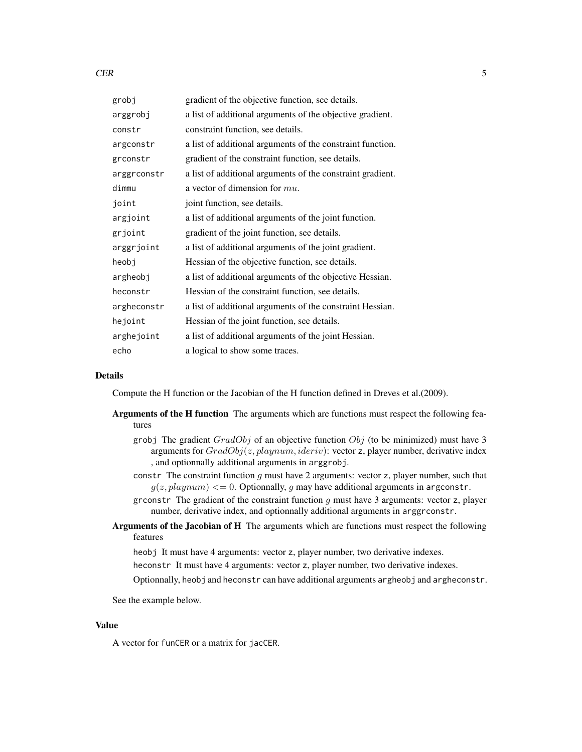#### $CER$  5

| grobj       | gradient of the objective function, see details.           |
|-------------|------------------------------------------------------------|
| arggrobj    | a list of additional arguments of the objective gradient.  |
| constr      | constraint function, see details.                          |
| argconstr   | a list of additional arguments of the constraint function. |
| grconstr    | gradient of the constraint function, see details.          |
| arggrconstr | a list of additional arguments of the constraint gradient. |
| dimmu       | a vector of dimension for $mu$ .                           |
| joint       | joint function, see details.                               |
| argjoint    | a list of additional arguments of the joint function.      |
| grjoint     | gradient of the joint function, see details.               |
| arggrjoint  | a list of additional arguments of the joint gradient.      |
| heobj       | Hessian of the objective function, see details.            |
| argheobj    | a list of additional arguments of the objective Hessian.   |
| heconstr    | Hessian of the constraint function, see details.           |
| argheconstr | a list of additional arguments of the constraint Hessian.  |
| hejoint     | Hessian of the joint function, see details.                |
| arghejoint  | a list of additional arguments of the joint Hessian.       |
| echo        | a logical to show some traces.                             |

# Details

Compute the H function or the Jacobian of the H function defined in Dreves et al.(2009).

- Arguments of the H function The arguments which are functions must respect the following features
	- grobj The gradient  $GradObj$  of an objective function  $Obj$  (to be minimized) must have 3 arguments for  $GradObj(z, playnum, ideriv)$ : vector z, player number, derivative index , and optionnally additional arguments in arggrobj.
	- constr The constraint function  $g$  must have 2 arguments: vector  $z$ , player number, such that  $g(z, playnum) \leq 0$ . Optionnally, g may have additional arguments in argconstr.
	- grconstr The gradient of the constraint function  $g$  must have 3 arguments: vector  $z$ , player number, derivative index, and optionnally additional arguments in arggrconstr.
- Arguments of the Jacobian of H The arguments which are functions must respect the following features

heobj It must have 4 arguments: vector z, player number, two derivative indexes.

heconstr It must have 4 arguments: vector z, player number, two derivative indexes.

Optionnally, heobj and heconstr can have additional arguments argheobj and argheconstr.

See the example below.

#### Value

A vector for funCER or a matrix for jacCER.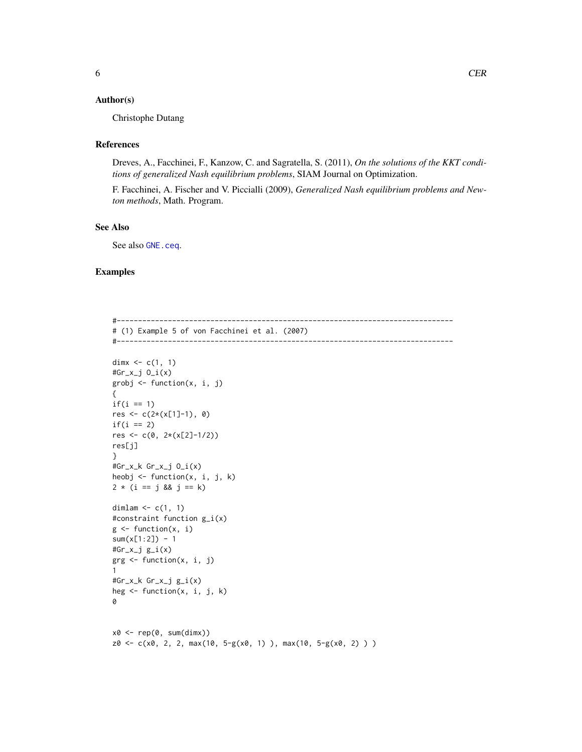# <span id="page-5-0"></span>Author(s)

Christophe Dutang

#### References

Dreves, A., Facchinei, F., Kanzow, C. and Sagratella, S. (2011), *On the solutions of the KKT conditions of generalized Nash equilibrium problems*, SIAM Journal on Optimization.

F. Facchinei, A. Fischer and V. Piccialli (2009), *Generalized Nash equilibrium problems and Newton methods*, Math. Program.

# See Also

See also [GNE.ceq](#page-13-1).

# Examples

#------------------------------------------------------------------------------- # (1) Example 5 of von Facchinei et al. (2007) #------------------------------------------------------------------------------ dimx  $\leq c(1, 1)$ #Gr\_x\_j O\_i(x) grobj <- function(x, i, j) {  $if(i == 1)$  $res \leftarrow c(2*(x[1]-1), 0)$  $if(i == 2)$ res <-  $c(0, 2*(x[2]-1/2))$ res[j] } #Gr\_x\_k Gr\_x\_j O\_i(x) heobj <- function(x, i, j, k)  $2 * (i == j & 8 & j == k)$ dimlam  $\leq c(1, 1)$ #constraint function g\_i(x)  $g \leftarrow function(x, i)$  $sum(x[1:2]) - 1$ #Gr\_x\_j g\_i(x) grg <- function(x, i, j) 1 #Gr\_x\_k Gr\_x\_j g\_i(x) heg  $\leq$  function(x, i, j, k) 0  $x0 \leq -\text{rep}(0, \text{sum}(dim x))$  $z0 \leq c(x0, 2, 2, max(10, 5-g(x0, 1)), max(10, 5-g(x0, 2))$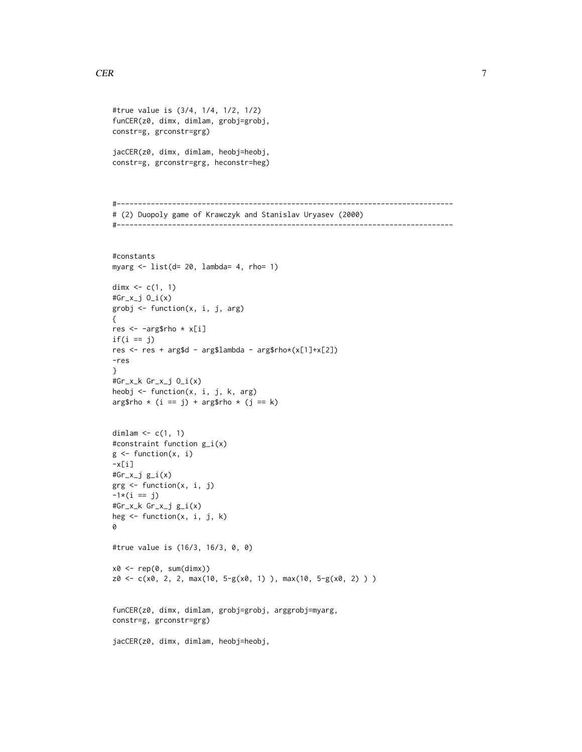```
#true value is (3/4, 1/4, 1/2, 1/2)
funCER(z0, dimx, dimlam, grobj=grobj,
constr=g, grconstr=grg)
jacCER(z0, dimx, dimlam, heobj=heobj,
constr=g, grconstr=grg, heconstr=heg)
#-------------------------------------------------------------------------------
# (2) Duopoly game of Krawczyk and Stanislav Uryasev (2000)
#-------------------------------------------------------------------------------
#constants
myarg <- list(d= 20, lambda= 4, rho= 1)
dimx \leq c(1, 1)#Gr_x_j O_i(x)
grobj <- function(x, i, j, arg)
{
res <- -arg$rho * x[i]
if(i == j)res <- res + arg$d - arg$lambda - arg$rho*(x[1]+x[2])
-res
}
#Gr_x_k Gr_x_j O_i(x)
heobj <- function(x, i, j, k, arg)
arg$rho * (i == j) + arg$rho * (j == k)
dimlam \leq c(1, 1)
#constraint function g_i(x)
g \leftarrow function(x, i)-x[i]#Gr_x_j g_i(x)
grg <- function(x, i, j)
-1*(i == j)#Gr_x_k Gr_x_j g_i(x)
heg <- function(x, i, j, k)
0
#true value is (16/3, 16/3, 0, 0)
x0 \leq -\text{rep}(0, \text{sum}(dim x))z0 <- c(x0, 2, 2, max(10, 5-g(x0, 1) ), max(10, 5-g(x0, 2) ) )
funCER(z0, dimx, dimlam, grobj=grobj, arggrobj=myarg,
constr=g, grconstr=grg)
jacCER(z0, dimx, dimlam, heobj=heobj,
```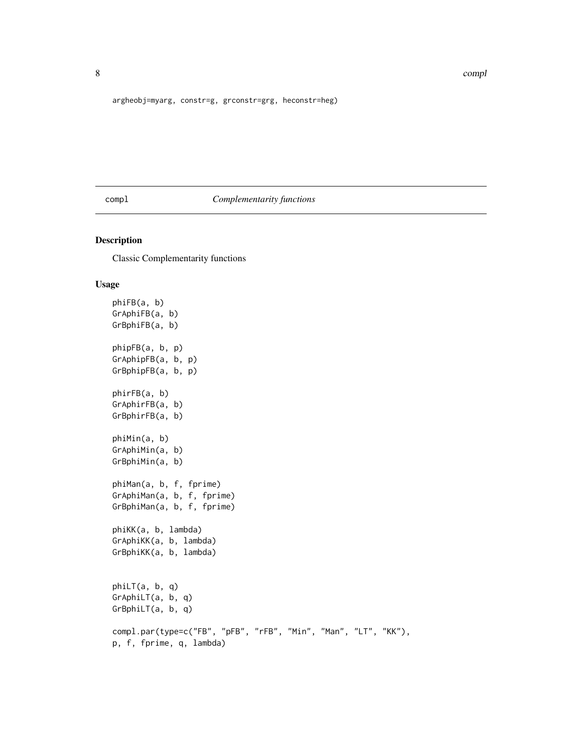argheobj=myarg, constr=g, grconstr=grg, heconstr=heg)

# compl *Complementarity functions*

# <span id="page-7-1"></span>Description

Classic Complementarity functions

#### Usage

```
phiFB(a, b)
GrAphiFB(a, b)
GrBphiFB(a, b)
phipFB(a, b, p)
GrAphipFB(a, b, p)
GrBphipFB(a, b, p)
phirFB(a, b)
GrAphirFB(a, b)
GrBphirFB(a, b)
phiMin(a, b)
GrAphiMin(a, b)
GrBphiMin(a, b)
phiMan(a, b, f, fprime)
GrAphiMan(a, b, f, fprime)
GrBphiMan(a, b, f, fprime)
phiKK(a, b, lambda)
GrAphiKK(a, b, lambda)
GrBphiKK(a, b, lambda)
phiLT(a, b, q)
GrAphiLT(a, b, q)
GrBphiLT(a, b, q)
compl.par(type=c("FB", "pFB", "rFB", "Min", "Man", "LT", "KK"),
p, f, fprime, q, lambda)
```
<span id="page-7-0"></span>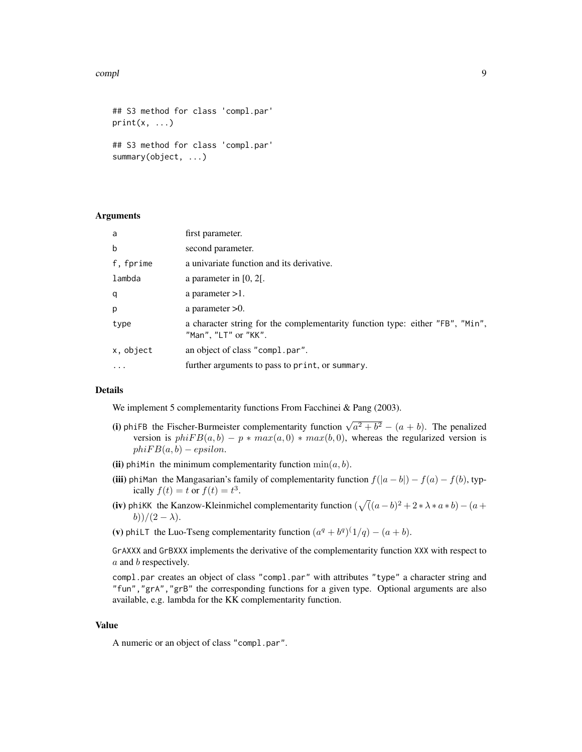#### complete the complete of the complete state of the complete state of the complete state of the complete state of the complete state of the complete state of the complete state of the complete state of the complete state of

```
## S3 method for class 'compl.par'
print(x, \ldots)## S3 method for class 'compl.par'
summary(object, ...)
```
## Arguments

| a         | first parameter.                                                                                      |
|-----------|-------------------------------------------------------------------------------------------------------|
| b         | second parameter.                                                                                     |
| f, fprime | a univariate function and its derivative.                                                             |
| lambda    | a parameter in $[0, 2]$ .                                                                             |
| q         | a parameter $>1$ .                                                                                    |
| p         | a parameter $>0$ .                                                                                    |
| type      | a character string for the complementarity function type: either "FB", "Min",<br>"Man", "LT" or "KK". |
| x, object | an object of class "compl.par".                                                                       |
| $\ddots$  | further arguments to pass to print, or summary.                                                       |

### Details

We implement 5 complementarity functions From Facchinei & Pang (2003).

- (i) phiFB the Fischer-Burmeister complementarity function  $\sqrt{a^2 + b^2} (a + b)$ . The penalized version is  $phiFB(a, b) - p * max(a, 0) * max(b, 0)$ , whereas the regularized version is  $phiFB(a, b) - epsilon.$
- (ii) phiMin the minimum complementarity function  $min(a, b)$ .
- (iii) phiMan the Mangasarian's family of complementarity function  $f(|a b|) f(a) f(b)$ , typically  $f(t) = t$  or  $f(t) = t^3$ .
- (iv) phiKK the Kanzow-Kleinmichel complementarity function  $(\sqrt((a-b)^2+2*\lambda*a*b)-(a+b)^2)$ b))/(2 –  $\lambda$ ).

(v) phiLT the Luo-Tseng complementarity function  $(a^q + b^q)^{(1/q)} - (a + b)$ .

GrAXXX and GrBXXX implements the derivative of the complementarity function XXX with respect to a and b respectively.

compl.par creates an object of class "compl.par" with attributes "type" a character string and "fun","grA","grB" the corresponding functions for a given type. Optional arguments are also available, e.g. lambda for the KK complementarity function.

#### Value

A numeric or an object of class "compl.par".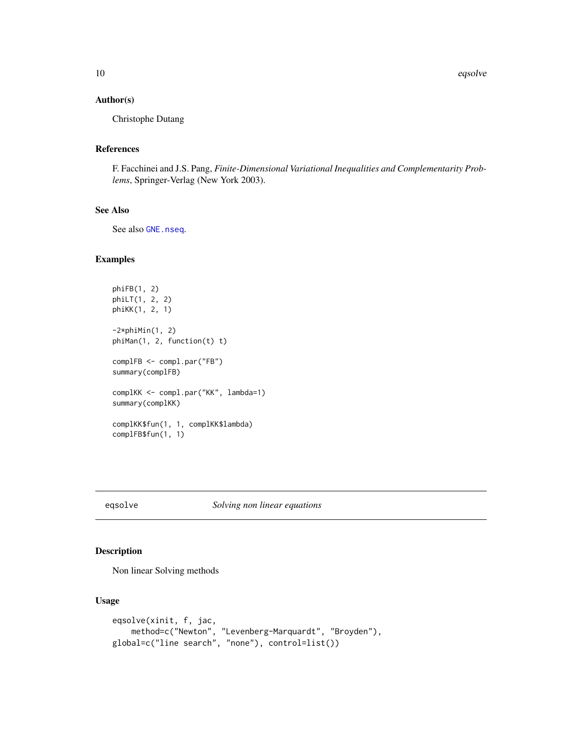<span id="page-9-0"></span>10 eqsolve eqsolve and the contract of the contract of the contract of the contract of the contract of the contract of the contract of the contract of the contract of the contract of the contract of the contract of the con

#### Author(s)

Christophe Dutang

# References

F. Facchinei and J.S. Pang, *Finite-Dimensional Variational Inequalities and Complementarity Problems*, Springer-Verlag (New York 2003).

# See Also

See also [GNE.nseq](#page-23-1).

#### Examples

```
phiFB(1, 2)
phiLT(1, 2, 2)
phiKK(1, 2, 1)
-2*phiMin(1, 2)
phiMan(1, 2, function(t) t)
complFB <- compl.par("FB")
summary(complFB)
complKK <- compl.par("KK", lambda=1)
summary(complKK)
complKK$fun(1, 1, complKK$lambda)
complFB$fun(1, 1)
```
# eqsolve *Solving non linear equations*

# Description

Non linear Solving methods

#### Usage

```
eqsolve(xinit, f, jac,
   method=c("Newton", "Levenberg-Marquardt", "Broyden"),
global=c("line search", "none"), control=list())
```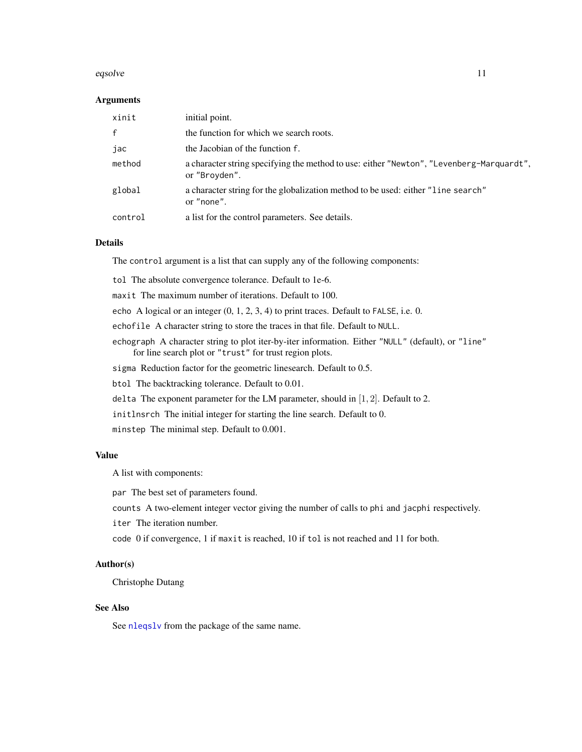#### <span id="page-10-0"></span>eqsolve the contract of the contract of the contract of the contract of the contract of the contract of the contract of the contract of the contract of the contract of the contract of the contract of the contract of the co

#### Arguments

| xinit        | initial point.                                                                                            |
|--------------|-----------------------------------------------------------------------------------------------------------|
| $\mathsf{f}$ | the function for which we search roots.                                                                   |
| jac          | the Jacobian of the function f.                                                                           |
| method       | a character string specifying the method to use: either "Newton", "Levenberg-Marquardt",<br>or "Broyden". |
| global       | a character string for the globalization method to be used: either "line search"<br>or "none".            |
| control      | a list for the control parameters. See details.                                                           |

#### Details

The control argument is a list that can supply any of the following components:

tol The absolute convergence tolerance. Default to 1e-6.

maxit The maximum number of iterations. Default to 100.

echo A logical or an integer (0, 1, 2, 3, 4) to print traces. Default to FALSE, i.e. 0.

echofile A character string to store the traces in that file. Default to NULL.

echograph A character string to plot iter-by-iter information. Either "NULL" (default), or "line" for line search plot or "trust" for trust region plots.

sigma Reduction factor for the geometric linesearch. Default to 0.5.

btol The backtracking tolerance. Default to 0.01.

delta The exponent parameter for the LM parameter, should in [1, 2]. Default to 2.

initlnsrch The initial integer for starting the line search. Default to 0.

minstep The minimal step. Default to 0.001.

# Value

A list with components:

par The best set of parameters found.

counts A two-element integer vector giving the number of calls to phi and jacphi respectively.

iter The iteration number.

code 0 if convergence, 1 if maxit is reached, 10 if tol is not reached and 11 for both.

# Author(s)

Christophe Dutang

# See Also

See [nleqslv](#page-0-0) from the package of the same name.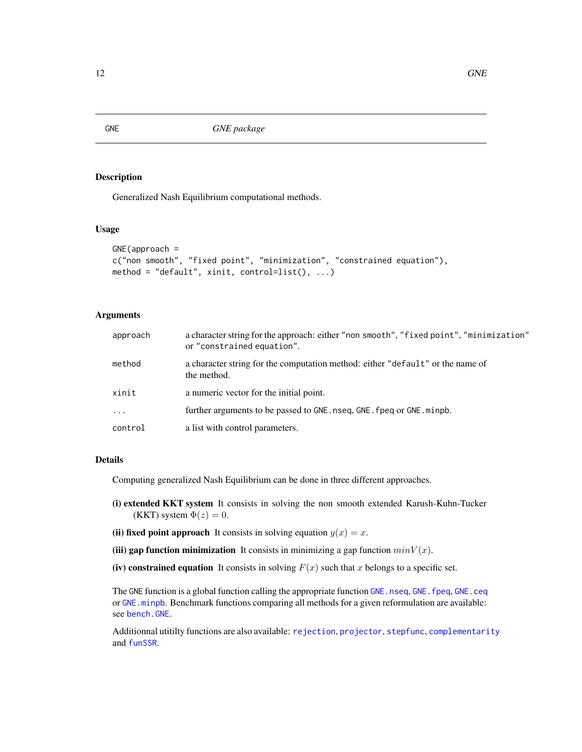<span id="page-11-1"></span><span id="page-11-0"></span>GNE **GNE** *GNE package* 

# Description

Generalized Nash Equilibrium computational methods.

# Usage

```
GNE(approach =
c("non smooth", "fixed point", "minimization", "constrained equation"),
method = "default", xinit, control=list(), ...)
```
#### Arguments

| approach | a character string for the approach: either "non smooth", "fixed point", "minimization"<br>or "constrained equation". |
|----------|-----------------------------------------------------------------------------------------------------------------------|
| method   | a character string for the computation method: either "default" or the name of<br>the method.                         |
| xinit    | a numeric vector for the initial point.                                                                               |
| $\ddots$ | further arguments to be passed to GNE. nseq, GNE. fpeq or GNE. minpb.                                                 |
| control  | a list with control parameters.                                                                                       |

#### Details

Computing generalized Nash Equilibrium can be done in three different approaches.

- (i) extended KKT system It consists in solving the non smooth extended Karush-Kuhn-Tucker (KKT) system  $\Phi(z) = 0$ .
- (ii) fixed point approach It consists in solving equation  $y(x) = x$ .
- (iii) gap function minimization It consists in minimizing a gap function  $minV(x)$ .
- (iv) constrained equation It consists in solving  $F(x)$  such that x belongs to a specific set.

The GNE function is a global function calling the appropriate function [GNE.nseq](#page-23-1), [GNE.fpeq](#page-17-1), [GNE.ceq](#page-13-1) or [GNE.minpb](#page-21-1). Benchmark functions comparing all methods for a given reformulation are available: see [bench.GNE](#page-1-1).

Additionnal utitilty functions are also available: [rejection](#page-34-1), [projector](#page-32-1), [stepfunc](#page-43-1), [complementarity](#page-7-1) and [funSSR](#page-35-1).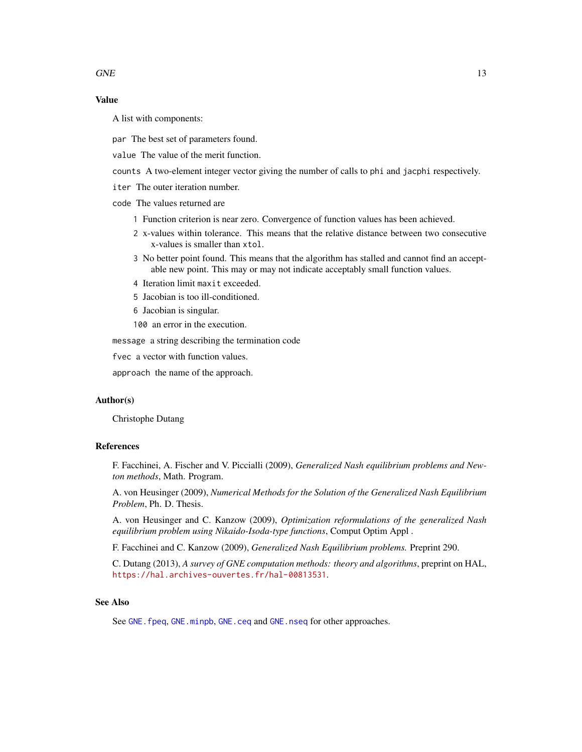# <span id="page-12-0"></span>Value

A list with components:

par The best set of parameters found.

value The value of the merit function.

counts A two-element integer vector giving the number of calls to phi and jacphi respectively.

iter The outer iteration number.

code The values returned are

- 1 Function criterion is near zero. Convergence of function values has been achieved.
- 2 x-values within tolerance. This means that the relative distance between two consecutive x-values is smaller than xtol.
- 3 No better point found. This means that the algorithm has stalled and cannot find an acceptable new point. This may or may not indicate acceptably small function values.
- 4 Iteration limit maxit exceeded.
- 5 Jacobian is too ill-conditioned.
- 6 Jacobian is singular.
- 100 an error in the execution.

message a string describing the termination code

fvec a vector with function values.

approach the name of the approach.

#### Author(s)

Christophe Dutang

#### References

F. Facchinei, A. Fischer and V. Piccialli (2009), *Generalized Nash equilibrium problems and Newton methods*, Math. Program.

A. von Heusinger (2009), *Numerical Methods for the Solution of the Generalized Nash Equilibrium Problem*, Ph. D. Thesis.

A. von Heusinger and C. Kanzow (2009), *Optimization reformulations of the generalized Nash equilibrium problem using Nikaido-Isoda-type functions*, Comput Optim Appl .

F. Facchinei and C. Kanzow (2009), *Generalized Nash Equilibrium problems.* Preprint 290.

C. Dutang (2013), *A survey of GNE computation methods: theory and algorithms*, preprint on HAL, <https://hal.archives-ouvertes.fr/hal-00813531>.

### See Also

See GNE. fpeq, [GNE.minpb](#page-21-1), [GNE.ceq](#page-13-1) and [GNE.nseq](#page-23-1) for other approaches.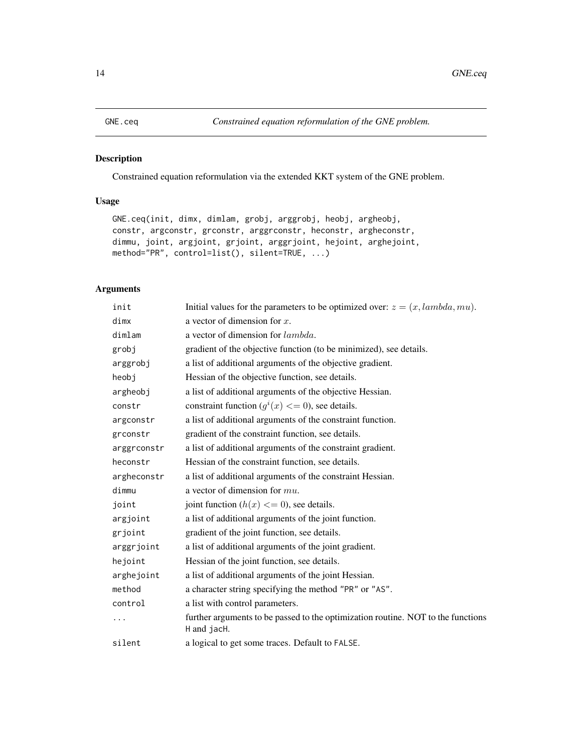<span id="page-13-1"></span><span id="page-13-0"></span>

# Description

Constrained equation reformulation via the extended KKT system of the GNE problem.

# Usage

```
GNE.ceq(init, dimx, dimlam, grobj, arggrobj, heobj, argheobj,
constr, argconstr, grconstr, arggrconstr, heconstr, argheconstr,
dimmu, joint, argjoint, grjoint, arggrjoint, hejoint, arghejoint,
method="PR", control=list(), silent=TRUE, ...)
```
# Arguments

| init        | Initial values for the parameters to be optimized over: $z = (x, lambda, mu)$ .                 |
|-------------|-------------------------------------------------------------------------------------------------|
| dimx        | a vector of dimension for $x$ .                                                                 |
| dimlam      | a vector of dimension for lambda.                                                               |
| grobj       | gradient of the objective function (to be minimized), see details.                              |
| arggrobj    | a list of additional arguments of the objective gradient.                                       |
| heobi       | Hessian of the objective function, see details.                                                 |
| argheobj    | a list of additional arguments of the objective Hessian.                                        |
| constr      | constraint function $(g^{i}(x) \leq 0)$ , see details.                                          |
| argconstr   | a list of additional arguments of the constraint function.                                      |
| grconstr    | gradient of the constraint function, see details.                                               |
| arggrconstr | a list of additional arguments of the constraint gradient.                                      |
| heconstr    | Hessian of the constraint function, see details.                                                |
| argheconstr | a list of additional arguments of the constraint Hessian.                                       |
| dimmu       | a vector of dimension for $mu$ .                                                                |
| joint       | joint function $(h(x) \leq 0)$ , see details.                                                   |
| argjoint    | a list of additional arguments of the joint function.                                           |
| grjoint     | gradient of the joint function, see details.                                                    |
| arggrjoint  | a list of additional arguments of the joint gradient.                                           |
| hejoint     | Hessian of the joint function, see details.                                                     |
| arghejoint  | a list of additional arguments of the joint Hessian.                                            |
| method      | a character string specifying the method "PR" or "AS".                                          |
| control     | a list with control parameters.                                                                 |
| .           | further arguments to be passed to the optimization routine. NOT to the functions<br>H and jacH. |
| silent      | a logical to get some traces. Default to FALSE.                                                 |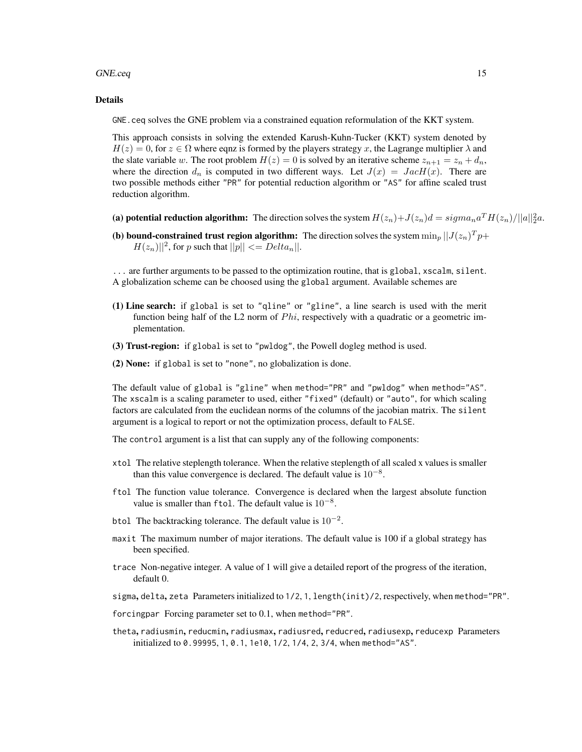#### GNE.ceq 15

#### Details

GNE.ceq solves the GNE problem via a constrained equation reformulation of the KKT system.

This approach consists in solving the extended Karush-Kuhn-Tucker (KKT) system denoted by  $H(z) = 0$ , for  $z \in \Omega$  where eqnz is formed by the players strategy x, the Lagrange multiplier  $\lambda$  and the slate variable w. The root problem  $H(z) = 0$  is solved by an iterative scheme  $z_{n+1} = z_n + d_n$ , where the direction  $d_n$  is computed in two different ways. Let  $J(x) = JacH(x)$ . There are two possible methods either "PR" for potential reduction algorithm or "AS" for affine scaled trust reduction algorithm.

- (a) potential reduction algorithm: The direction solves the system  $H(z_n)+J(z_n)d = sigma_na^TH(z_n)/||a||_2^2a$ .
- (b) bound-constrained trust region algorithm: The direction solves the system  $\min_p ||J(z_n)^T p +$  $H(z_n)||^2$ , for p such that  $||p|| \leq Delta_n||$ .

... are further arguments to be passed to the optimization routine, that is global, xscalm, silent. A globalization scheme can be choosed using the global argument. Available schemes are

- (1) Line search: if global is set to "qline" or "gline", a line search is used with the merit function being half of the L2 norm of  $Phi$ , respectively with a quadratic or a geometric implementation.
- (3) Trust-region: if global is set to "pwldog", the Powell dogleg method is used.
- (2) None: if global is set to "none", no globalization is done.

The default value of global is "gline" when method="PR" and "pwldog" when method="AS". The xscalm is a scaling parameter to used, either "fixed" (default) or "auto", for which scaling factors are calculated from the euclidean norms of the columns of the jacobian matrix. The silent argument is a logical to report or not the optimization process, default to FALSE.

The control argument is a list that can supply any of the following components:

- xtol The relative steplength tolerance. When the relative steplength of all scaled x values is smaller than this value convergence is declared. The default value is  $10^{-8}$ .
- ftol The function value tolerance. Convergence is declared when the largest absolute function value is smaller than ftol. The default value is  $10^{-8}$ .
- btol The backtracking tolerance. The default value is  $10^{-2}$ .
- maxit The maximum number of major iterations. The default value is 100 if a global strategy has been specified.
- trace Non-negative integer. A value of 1 will give a detailed report of the progress of the iteration, default 0.
- sigma, delta, zeta Parameters initialized to 1/2, 1, length(init)/2, respectively, when method="PR".
- forcingpar Forcing parameter set to 0.1, when method="PR".
- theta, radiusmin, reducmin, radiusmax, radiusred, reducred, radiusexp, reducexp Parameters initialized to 0.99995, 1, 0.1, 1e10, 1/2, 1/4, 2, 3/4, when method="AS".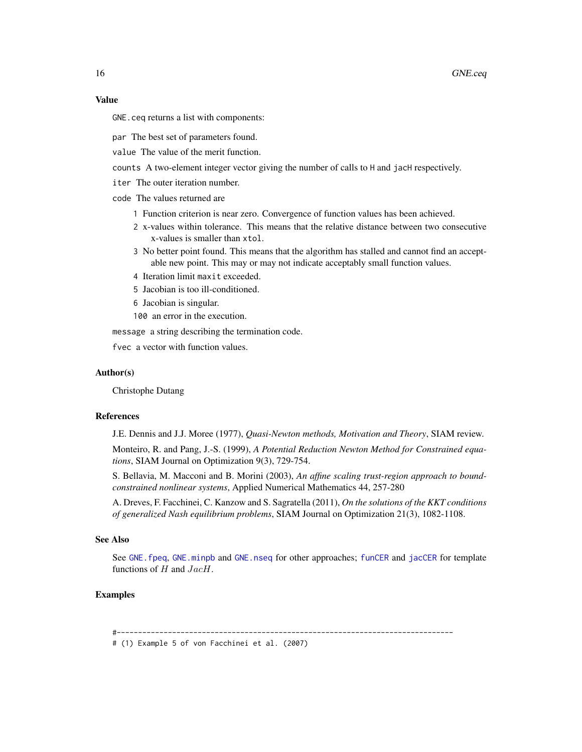#### <span id="page-15-0"></span>Value

GNE.ceq returns a list with components:

par The best set of parameters found.

value The value of the merit function.

counts A two-element integer vector giving the number of calls to H and jacH respectively.

iter The outer iteration number.

code The values returned are

- 1 Function criterion is near zero. Convergence of function values has been achieved.
- 2 x-values within tolerance. This means that the relative distance between two consecutive x-values is smaller than xtol.
- 3 No better point found. This means that the algorithm has stalled and cannot find an acceptable new point. This may or may not indicate acceptably small function values.
- 4 Iteration limit maxit exceeded.
- 5 Jacobian is too ill-conditioned.
- 6 Jacobian is singular.
- 100 an error in the execution.

message a string describing the termination code.

fvec a vector with function values.

#### Author(s)

Christophe Dutang

#### References

J.E. Dennis and J.J. Moree (1977), *Quasi-Newton methods, Motivation and Theory*, SIAM review.

Monteiro, R. and Pang, J.-S. (1999), *A Potential Reduction Newton Method for Constrained equations*, SIAM Journal on Optimization 9(3), 729-754.

S. Bellavia, M. Macconi and B. Morini (2003), *An affine scaling trust-region approach to boundconstrained nonlinear systems*, Applied Numerical Mathematics 44, 257-280

A. Dreves, F. Facchinei, C. Kanzow and S. Sagratella (2011), *On the solutions of the KKT conditions of generalized Nash equilibrium problems*, SIAM Journal on Optimization 21(3), 1082-1108.

# See Also

See GNE. fpeq, GNE. minpb and GNE. nseq for other approaches; [funCER](#page-3-1) and [jacCER](#page-3-1) for template functions of  $H$  and  $JacH$ .

# Examples

#-------------------------------------------------------------------------------

# (1) Example 5 of von Facchinei et al. (2007)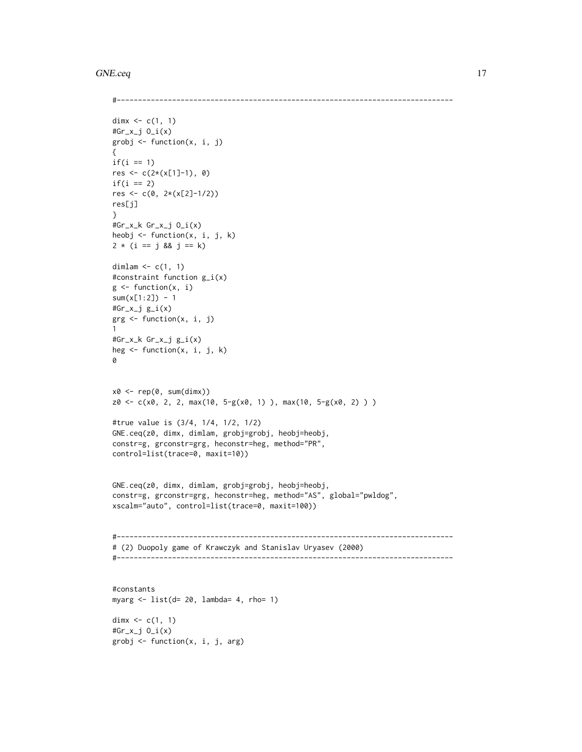#### GNE.ceq 17

```
#-------------------------------------------------------------------------------
dimx \leq c(1, 1)#Gr_x_j O_i(x)
grobj <- function(x, i, j)
{
if(i == 1)res <- c(2*(x[1]-1), 0)
if(i == 2)res <- c(0, 2*(x[2]-1/2))res[j]
}
#Gr_x_k Gr_x_j O_i(x)
heobj <- function(x, i, j, k)
2 * (i == j & 8 & j == k)dimlam \leftarrow c(1, 1)
#constraint function g_i(x)
g \leftarrow function(x, i)sum(x[1:2]) - 1#Gr_x_j g_i(x)grg <- function(x, i, j)
1
#Gr_x_k Gr_x_j g_i(x)
heg \leq function(x, i, j, k)
0
x0 \leftarrow rep(0, sum(dimx))z0 \leq c(x0, 2, 2, max(10, 5-g(x0, 1)), max(10, 5-g(x0, 2)) )#true value is (3/4, 1/4, 1/2, 1/2)
GNE.ceq(z0, dimx, dimlam, grobj=grobj, heobj=heobj,
constr=g, grconstr=grg, heconstr=heg, method="PR",
control=list(trace=0, maxit=10))
GNE.ceq(z0, dimx, dimlam, grobj=grobj, heobj=heobj,
constr=g, grconstr=grg, heconstr=heg, method="AS", global="pwldog",
xscalm="auto", control=list(trace=0, maxit=100))
#-------------------------------------------------------------------------------
# (2) Duopoly game of Krawczyk and Stanislav Uryasev (2000)
#-------------------------------------------------------------------------------
#constants
myarg <- list(d= 20, lambda= 4, rho= 1)
dimx \leq c(1, 1)#Gr_x_j O_i(x)
grobj \leq function(x, i, j, arg)
```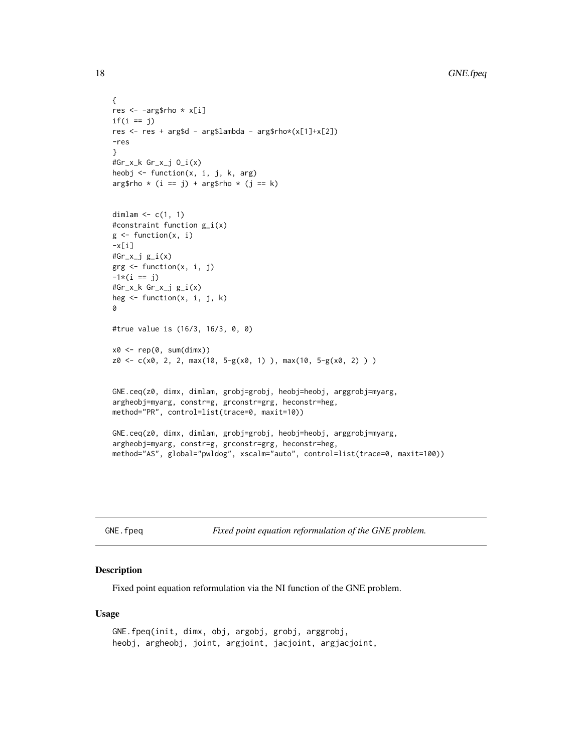```
{
res <- -arg$rho * x[i]
if(i == j)res <- res + arg$d - arg$lambda - arg$rho*(x[1]+x[2])
-res
}
#Gr_x_k Gr_x_j O_i(x)
heobj <- function(x, i, j, k, arg)
arg$rho * (i == j) + arg$rho * (j == k)dimlam \leq c(1, 1)#constraint function g_i(x)
g \leftarrow function(x, i)-x[i]#Gr_x_j g_i(x)grg <- function(x, i, j)
-1*(i == j)#Gr_x_k Gr_x_j g_i(x)
heg \leq function(x, i, j, k)
0
#true value is (16/3, 16/3, 0, 0)
x0 \leftarrow rep(0, sum(dimx))z0 \leq -c(x0, 2, 2, max(10, 5-g(x0, 1)), max(10, 5-g(x0, 2)) )GNE.ceq(z0, dimx, dimlam, grobj=grobj, heobj=heobj, arggrobj=myarg,
argheobj=myarg, constr=g, grconstr=grg, heconstr=heg,
method="PR", control=list(trace=0, maxit=10))
GNE.ceq(z0, dimx, dimlam, grobj=grobj, heobj=heobj, arggrobj=myarg,
argheobj=myarg, constr=g, grconstr=grg, heconstr=heg,
method="AS", global="pwldog", xscalm="auto", control=list(trace=0, maxit=100))
```
<span id="page-17-1"></span>GNE.fpeq *Fixed point equation reformulation of the GNE problem.* 

# Description

Fixed point equation reformulation via the NI function of the GNE problem.

#### Usage

```
GNE.fpeq(init, dimx, obj, argobj, grobj, arggrobj,
heobj, argheobj, joint, argjoint, jacjoint, argjacjoint,
```
<span id="page-17-0"></span>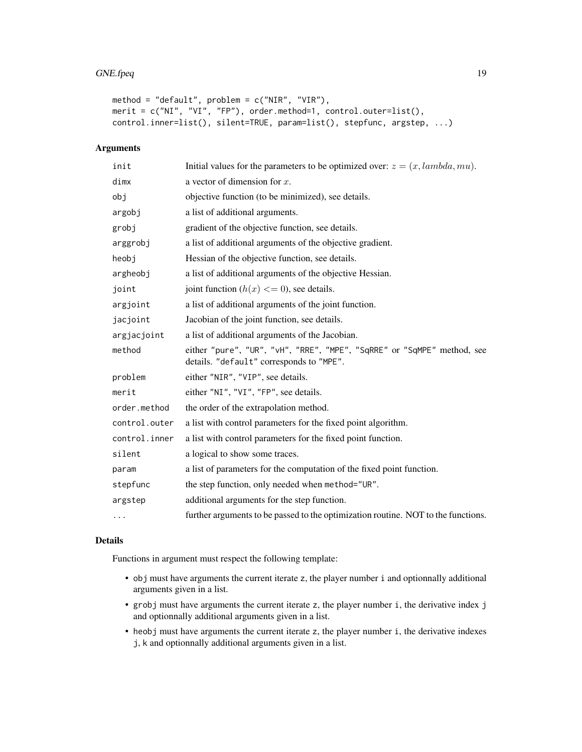```
method = "default", problem = c("NIR", "VIR"),
merit = c("NI", "VI", "FP"), order.method=1, control.outer=list(),
control.inner=list(), silent=TRUE, param=list(), stepfunc, argstep, ...)
```
# Arguments

| init          | Initial values for the parameters to be optimized over: $z = (x, lambda, mu)$ .                                     |
|---------------|---------------------------------------------------------------------------------------------------------------------|
| dimx          | a vector of dimension for $x$ .                                                                                     |
| obj           | objective function (to be minimized), see details.                                                                  |
| argobj        | a list of additional arguments.                                                                                     |
| grobj         | gradient of the objective function, see details.                                                                    |
| arggrobj      | a list of additional arguments of the objective gradient.                                                           |
| heobi         | Hessian of the objective function, see details.                                                                     |
| argheobj      | a list of additional arguments of the objective Hessian.                                                            |
| joint         | joint function $(h(x) \leq 0)$ , see details.                                                                       |
| argjoint      | a list of additional arguments of the joint function.                                                               |
| jacjoint      | Jacobian of the joint function, see details.                                                                        |
| argjacjoint   | a list of additional arguments of the Jacobian.                                                                     |
| method        | either "pure", "UR", "vH", "RRE", "MPE", "SqRRE" or "SqMPE" method, see<br>details. "default" corresponds to "MPE". |
| problem       | either "NIR", "VIP", see details.                                                                                   |
| merit         | either "NI", "VI", "FP", see details.                                                                               |
| order.method  | the order of the extrapolation method.                                                                              |
| control.outer | a list with control parameters for the fixed point algorithm.                                                       |
| control.inner | a list with control parameters for the fixed point function.                                                        |
| silent        | a logical to show some traces.                                                                                      |
| param         | a list of parameters for the computation of the fixed point function.                                               |
| stepfunc      | the step function, only needed when method="UR".                                                                    |
| argstep       | additional arguments for the step function.                                                                         |
| $\cdots$      | further arguments to be passed to the optimization routine. NOT to the functions.                                   |

#### Details

Functions in argument must respect the following template:

- obj must have arguments the current iterate z, the player number i and optionnally additional arguments given in a list.
- grobj must have arguments the current iterate z, the player number i, the derivative index j and optionnally additional arguments given in a list.
- heobj must have arguments the current iterate z, the player number i, the derivative indexes j, k and optionnally additional arguments given in a list.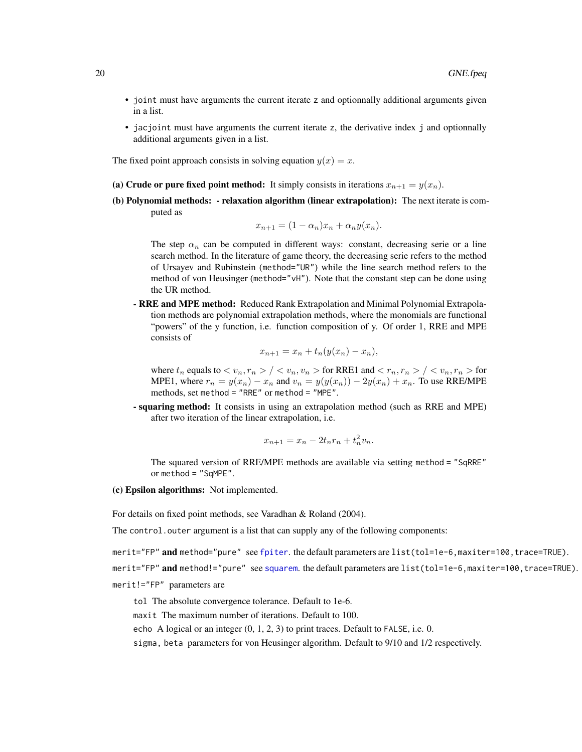- <span id="page-19-0"></span>• joint must have arguments the current iterate z and optionnally additional arguments given in a list.
- jacjoint must have arguments the current iterate z, the derivative index j and optionnally additional arguments given in a list.

The fixed point approach consists in solving equation  $y(x) = x$ .

- (a) Crude or pure fixed point method: It simply consists in iterations  $x_{n+1} = y(x_n)$ .
- (b) Polynomial methods: relaxation algorithm (linear extrapolation): The next iterate is computed as

$$
x_{n+1} = (1 - \alpha_n)x_n + \alpha_n y(x_n).
$$

The step  $\alpha_n$  can be computed in different ways: constant, decreasing serie or a line search method. In the literature of game theory, the decreasing serie refers to the method of Ursayev and Rubinstein (method="UR") while the line search method refers to the method of von Heusinger (method="vH"). Note that the constant step can be done using the UR method.

- RRE and MPE method: Reduced Rank Extrapolation and Minimal Polynomial Extrapolation methods are polynomial extrapolation methods, where the monomials are functional "powers" of the y function, i.e. function composition of y. Of order 1, RRE and MPE consists of

$$
x_{n+1} = x_n + t_n(y(x_n) - x_n),
$$

where  $t_n$  equals to  $\langle v_n, r_n \rangle / \langle v_n, v_n \rangle$  for RRE1 and  $\langle r_n, r_n \rangle / \langle v_n, r_n \rangle$  for MPE1, where  $r_n = y(x_n) - x_n$  and  $v_n = y(y(x_n)) - 2y(x_n) + x_n$ . To use RRE/MPE methods, set method = "RRE" or method = "MPE".

- squaring method: It consists in using an extrapolation method (such as RRE and MPE) after two iteration of the linear extrapolation, i.e.

$$
x_{n+1} = x_n - 2t_n r_n + t_n^2 v_n.
$$

The squared version of RRE/MPE methods are available via setting method = "SqRRE" or method = "SqMPE".

(c) Epsilon algorithms: Not implemented.

For details on fixed point methods, see Varadhan & Roland (2004).

The control. outer argument is a list that can supply any of the following components:

merit="FP" and method="pure" see [fpiter](#page-0-0). the default parameters are list(tol=1e-6,maxiter=100,trace=TRUE).

merit="FP" and method!="pure" see [squarem](#page-0-0). the default parameters are list(tol=1e-6,maxiter=100,trace=TRUE).

merit!="FP" parameters are

tol The absolute convergence tolerance. Default to 1e-6.

maxit The maximum number of iterations. Default to 100.

echo A logical or an integer (0, 1, 2, 3) to print traces. Default to FALSE, i.e. 0.

sigma, beta parameters for von Heusinger algorithm. Default to 9/10 and 1/2 respectively.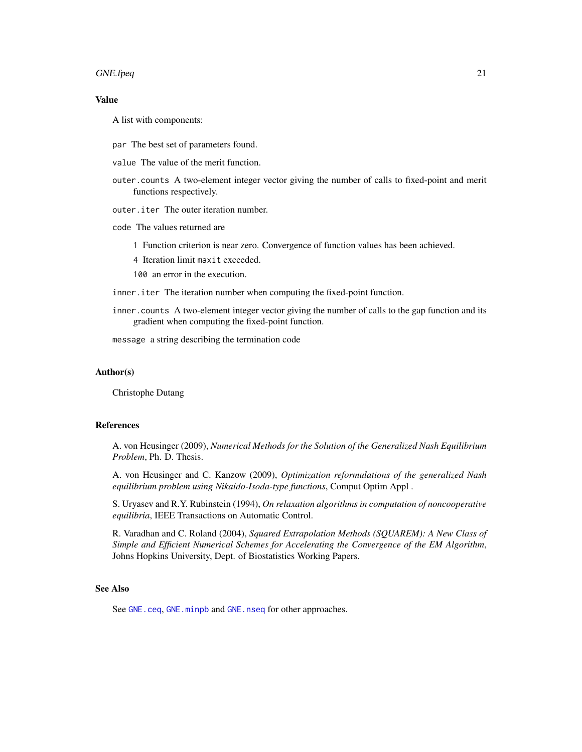#### <span id="page-20-0"></span>GNE.fpeq 21

# Value

A list with components:

- par The best set of parameters found.
- value The value of the merit function.
- outer.counts A two-element integer vector giving the number of calls to fixed-point and merit functions respectively.
- outer.iter The outer iteration number.
- code The values returned are
	- 1 Function criterion is near zero. Convergence of function values has been achieved.
	- 4 Iteration limit maxit exceeded.

100 an error in the execution.

- inner.iter The iteration number when computing the fixed-point function.
- inner.counts A two-element integer vector giving the number of calls to the gap function and its gradient when computing the fixed-point function.

message a string describing the termination code

#### Author(s)

Christophe Dutang

### References

A. von Heusinger (2009), *Numerical Methods for the Solution of the Generalized Nash Equilibrium Problem*, Ph. D. Thesis.

A. von Heusinger and C. Kanzow (2009), *Optimization reformulations of the generalized Nash equilibrium problem using Nikaido-Isoda-type functions*, Comput Optim Appl .

S. Uryasev and R.Y. Rubinstein (1994), *On relaxation algorithms in computation of noncooperative equilibria*, IEEE Transactions on Automatic Control.

R. Varadhan and C. Roland (2004), *Squared Extrapolation Methods (SQUAREM): A New Class of Simple and Efficient Numerical Schemes for Accelerating the Convergence of the EM Algorithm*, Johns Hopkins University, Dept. of Biostatistics Working Papers.

#### See Also

See [GNE.ceq](#page-13-1), [GNE.minpb](#page-21-1) and [GNE.nseq](#page-23-1) for other approaches.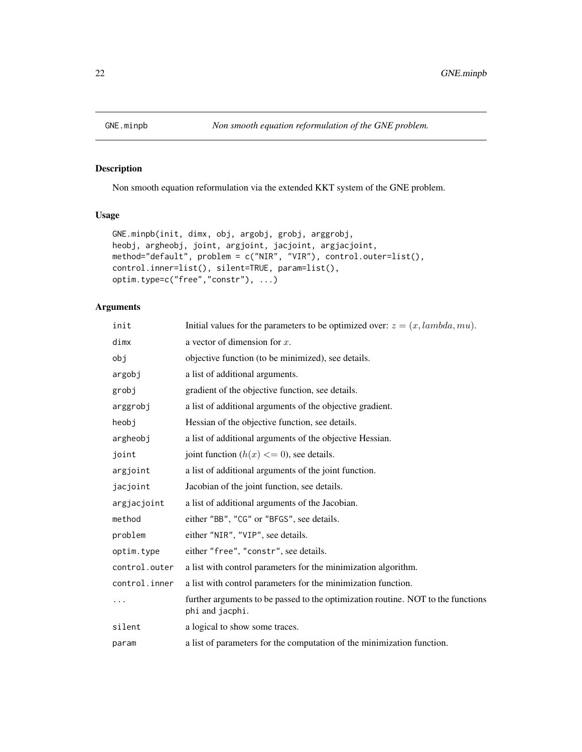<span id="page-21-1"></span><span id="page-21-0"></span>

## Description

Non smooth equation reformulation via the extended KKT system of the GNE problem.

# Usage

```
GNE.minpb(init, dimx, obj, argobj, grobj, arggrobj,
heobj, argheobj, joint, argjoint, jacjoint, argjacjoint,
method="default", problem = c("NIR", "VIR"), control.outer=list(),
control.inner=list(), silent=TRUE, param=list(),
optim.type=c("free","constr"), ...)
```
# Arguments

| init          | Initial values for the parameters to be optimized over: $z = (x, lambda, mu)$ .                     |
|---------------|-----------------------------------------------------------------------------------------------------|
| dimx          | a vector of dimension for $x$ .                                                                     |
| obj           | objective function (to be minimized), see details.                                                  |
| argobj        | a list of additional arguments.                                                                     |
| grobj         | gradient of the objective function, see details.                                                    |
| arggrobj      | a list of additional arguments of the objective gradient.                                           |
| heobj         | Hessian of the objective function, see details.                                                     |
| argheobj      | a list of additional arguments of the objective Hessian.                                            |
| joint         | joint function $(h(x) \leq 0)$ , see details.                                                       |
| argjoint      | a list of additional arguments of the joint function.                                               |
| jacjoint      | Jacobian of the joint function, see details.                                                        |
| argjacjoint   | a list of additional arguments of the Jacobian.                                                     |
| method        | either "BB", "CG" or "BFGS", see details.                                                           |
| problem       | either "NIR", "VIP", see details.                                                                   |
| optim.type    | either "free", "constr", see details.                                                               |
| control.outer | a list with control parameters for the minimization algorithm.                                      |
| control.inner | a list with control parameters for the minimization function.                                       |
| .             | further arguments to be passed to the optimization routine. NOT to the functions<br>phi and jacphi. |
| silent        | a logical to show some traces.                                                                      |
| param         | a list of parameters for the computation of the minimization function.                              |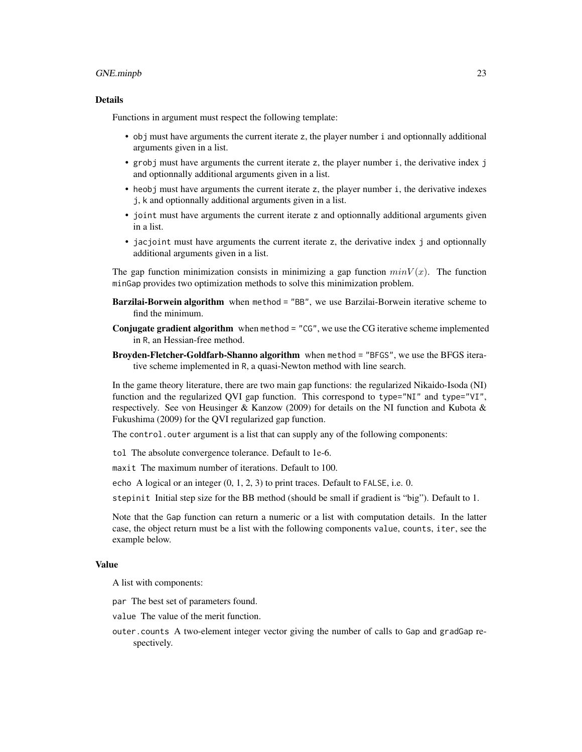#### GNE.minpb 23

#### Details

Functions in argument must respect the following template:

- obj must have arguments the current iterate z, the player number i and optionnally additional arguments given in a list.
- grobj must have arguments the current iterate z, the player number i, the derivative index j and optionnally additional arguments given in a list.
- heobj must have arguments the current iterate z, the player number i, the derivative indexes j, k and optionnally additional arguments given in a list.
- joint must have arguments the current iterate z and optionnally additional arguments given in a list.
- jacjoint must have arguments the current iterate z, the derivative index j and optionnally additional arguments given in a list.

The gap function minimization consists in minimizing a gap function  $minV(x)$ . The function minGap provides two optimization methods to solve this minimization problem.

- Barzilai-Borwein algorithm when method = "BB", we use Barzilai-Borwein iterative scheme to find the minimum.
- Conjugate gradient algorithm when method = "CG", we use the CG iterative scheme implemented in R, an Hessian-free method.
- Broyden-Fletcher-Goldfarb-Shanno algorithm when method = "BFGS", we use the BFGS iterative scheme implemented in R, a quasi-Newton method with line search.

In the game theory literature, there are two main gap functions: the regularized Nikaido-Isoda (NI) function and the regularized QVI gap function. This correspond to type="NI" and type="VI", respectively. See von Heusinger & Kanzow (2009) for details on the NI function and Kubota & Fukushima (2009) for the QVI regularized gap function.

The control. outer argument is a list that can supply any of the following components:

tol The absolute convergence tolerance. Default to 1e-6.

maxit The maximum number of iterations. Default to 100.

echo A logical or an integer (0, 1, 2, 3) to print traces. Default to FALSE, i.e. 0.

stepinit Initial step size for the BB method (should be small if gradient is "big"). Default to 1.

Note that the Gap function can return a numeric or a list with computation details. In the latter case, the object return must be a list with the following components value, counts, iter, see the example below.

#### Value

A list with components:

par The best set of parameters found.

value The value of the merit function.

outer.counts A two-element integer vector giving the number of calls to Gap and gradGap respectively.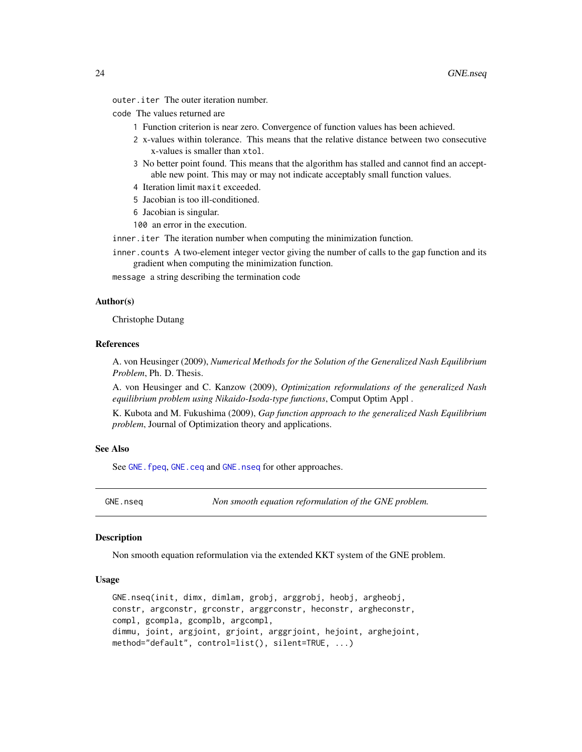<span id="page-23-0"></span>outer.iter The outer iteration number.

- code The values returned are
	- 1 Function criterion is near zero. Convergence of function values has been achieved.
	- 2 x-values within tolerance. This means that the relative distance between two consecutive x-values is smaller than xtol.
	- 3 No better point found. This means that the algorithm has stalled and cannot find an acceptable new point. This may or may not indicate acceptably small function values.
	- 4 Iteration limit maxit exceeded.
	- 5 Jacobian is too ill-conditioned.
	- 6 Jacobian is singular.
	- 100 an error in the execution.

inner.iter The iteration number when computing the minimization function.

inner.counts A two-element integer vector giving the number of calls to the gap function and its gradient when computing the minimization function.

message a string describing the termination code

#### Author(s)

Christophe Dutang

# References

A. von Heusinger (2009), *Numerical Methods for the Solution of the Generalized Nash Equilibrium Problem*, Ph. D. Thesis.

A. von Heusinger and C. Kanzow (2009), *Optimization reformulations of the generalized Nash equilibrium problem using Nikaido-Isoda-type functions*, Comput Optim Appl .

K. Kubota and M. Fukushima (2009), *Gap function approach to the generalized Nash Equilibrium problem*, Journal of Optimization theory and applications.

# See Also

See GNE. fpeq, [GNE.ceq](#page-13-1) and [GNE.nseq](#page-23-1) for other approaches.

<span id="page-23-1"></span>GNE.nseq *Non smooth equation reformulation of the GNE problem.*

# Description

Non smooth equation reformulation via the extended KKT system of the GNE problem.

#### Usage

GNE.nseq(init, dimx, dimlam, grobj, arggrobj, heobj, argheobj, constr, argconstr, grconstr, arggrconstr, heconstr, argheconstr, compl, gcompla, gcomplb, argcompl, dimmu, joint, argjoint, grjoint, arggrjoint, hejoint, arghejoint, method="default", control=list(), silent=TRUE, ...)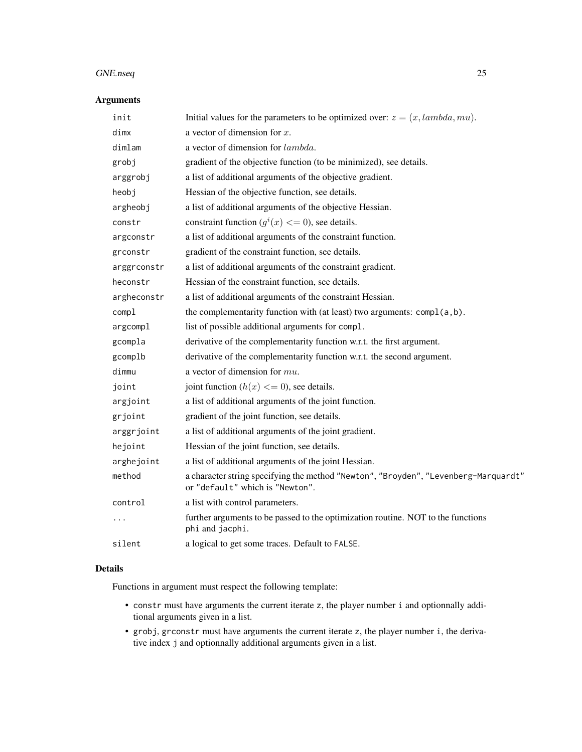# Arguments

| init        | Initial values for the parameters to be optimized over: $z = (x, lambda, mu)$ .                                        |
|-------------|------------------------------------------------------------------------------------------------------------------------|
| dimx        | a vector of dimension for $x$ .                                                                                        |
| dimlam      | a vector of dimension for lambda.                                                                                      |
| grobj       | gradient of the objective function (to be minimized), see details.                                                     |
| arggrobj    | a list of additional arguments of the objective gradient.                                                              |
| heobj       | Hessian of the objective function, see details.                                                                        |
| argheobj    | a list of additional arguments of the objective Hessian.                                                               |
| constr      | constraint function $(g^{i}(x) \leq 0)$ , see details.                                                                 |
| argconstr   | a list of additional arguments of the constraint function.                                                             |
| grconstr    | gradient of the constraint function, see details.                                                                      |
| arggrconstr | a list of additional arguments of the constraint gradient.                                                             |
| heconstr    | Hessian of the constraint function, see details.                                                                       |
| argheconstr | a list of additional arguments of the constraint Hessian.                                                              |
| compl       | the complementarity function with (at least) two arguments: compl(a,b).                                                |
| argcompl    | list of possible additional arguments for compl.                                                                       |
| gcompla     | derivative of the complementarity function w.r.t. the first argument.                                                  |
| gcomplb     | derivative of the complementarity function w.r.t. the second argument.                                                 |
| dimmu       | a vector of dimension for $mu$ .                                                                                       |
| joint       | joint function $(h(x) \leq 0)$ , see details.                                                                          |
| argjoint    | a list of additional arguments of the joint function.                                                                  |
| grjoint     | gradient of the joint function, see details.                                                                           |
| arggrjoint  | a list of additional arguments of the joint gradient.                                                                  |
| hejoint     | Hessian of the joint function, see details.                                                                            |
| arghejoint  | a list of additional arguments of the joint Hessian.                                                                   |
| method      | a character string specifying the method "Newton", "Broyden", "Levenberg-Marquardt"<br>or "default" which is "Newton". |
| control     | a list with control parameters.                                                                                        |
| $\cdots$    | further arguments to be passed to the optimization routine. NOT to the functions<br>phi and jacphi.                    |
| silent      | a logical to get some traces. Default to FALSE.                                                                        |
|             |                                                                                                                        |

# Details

Functions in argument must respect the following template:

- constr must have arguments the current iterate z, the player number i and optionnally additional arguments given in a list.
- grobj, grconstr must have arguments the current iterate z, the player number i, the derivative index j and optionnally additional arguments given in a list.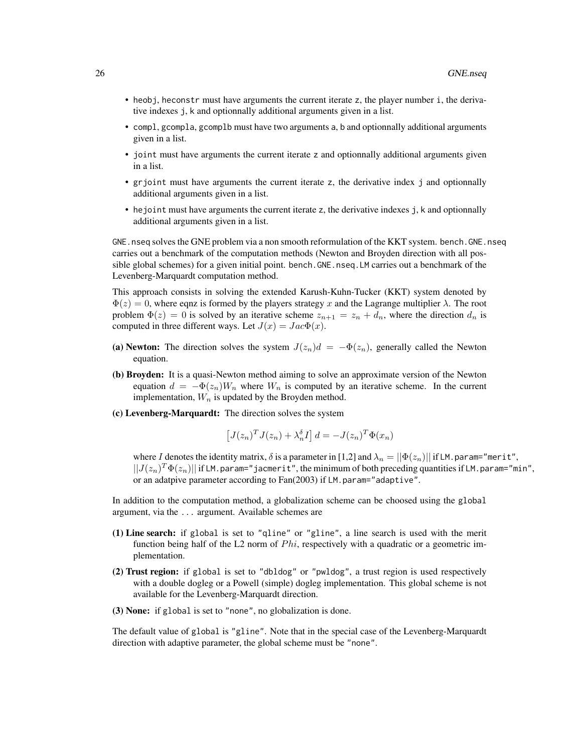- heobj, heconstr must have arguments the current iterate z, the player number i, the derivative indexes j, k and optionnally additional arguments given in a list.
- compl, gcompla, gcomplb must have two arguments a, b and optionnally additional arguments given in a list.
- joint must have arguments the current iterate z and optionnally additional arguments given in a list.
- grjoint must have arguments the current iterate z, the derivative index j and optionnally additional arguments given in a list.
- hejoint must have arguments the current iterate z, the derivative indexes j, k and optionnally additional arguments given in a list.

GNE. nseq solves the GNE problem via a non smooth reformulation of the KKT system. bench. GNE. nseq carries out a benchmark of the computation methods (Newton and Broyden direction with all possible global schemes) for a given initial point. bench.GNE.nseq.LM carries out a benchmark of the Levenberg-Marquardt computation method.

This approach consists in solving the extended Karush-Kuhn-Tucker (KKT) system denoted by  $\Phi(z) = 0$ , where eqnz is formed by the players strategy x and the Lagrange multiplier  $\lambda$ . The root problem  $\Phi(z) = 0$  is solved by an iterative scheme  $z_{n+1} = z_n + d_n$ , where the direction  $d_n$  is computed in three different ways. Let  $J(x) = Jac\Phi(x)$ .

- (a) Newton: The direction solves the system  $J(z_n)d = -\Phi(z_n)$ , generally called the Newton equation.
- (b) Broyden: It is a quasi-Newton method aiming to solve an approximate version of the Newton equation  $d = -\Phi(z_n)W_n$  where  $W_n$  is computed by an iterative scheme. In the current implementation,  $W_n$  is updated by the Broyden method.
- (c) Levenberg-Marquardt: The direction solves the system

$$
\left[J(z_n)^T J(z_n) + \lambda_n^{\delta} I\right] d = -J(z_n)^T \Phi(x_n)
$$

where I denotes the identity matrix,  $\delta$  is a parameter in [1,2] and  $\lambda_n = ||\Phi(z_n)||$  if LM.param="merit",  $||J(z_n)^T\Phi(z_n)||$  if LM.param="jacmerit", the minimum of both preceding quantities if LM.param="min", or an adatpive parameter according to Fan(2003) if LM.param="adaptive".

In addition to the computation method, a globalization scheme can be choosed using the global argument, via the ... argument. Available schemes are

- (1) Line search: if global is set to "qline" or "gline", a line search is used with the merit function being half of the L2 norm of  $Phi$ , respectively with a quadratic or a geometric implementation.
- (2) Trust region: if global is set to "dbldog" or "pwldog", a trust region is used respectively with a double dogleg or a Powell (simple) dogleg implementation. This global scheme is not available for the Levenberg-Marquardt direction.
- (3) None: if global is set to "none", no globalization is done.

The default value of global is "gline". Note that in the special case of the Levenberg-Marquardt direction with adaptive parameter, the global scheme must be "none".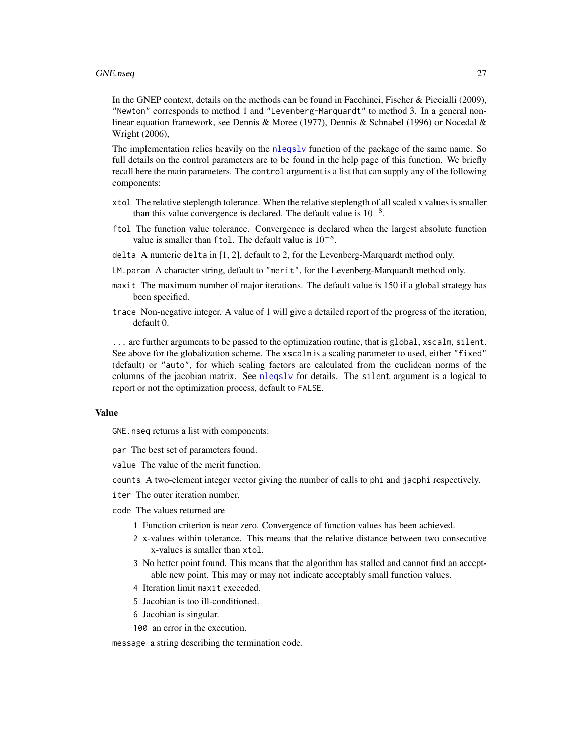<span id="page-26-0"></span>In the GNEP context, details on the methods can be found in Facchinei, Fischer & Piccialli (2009), "Newton" corresponds to method 1 and "Levenberg-Marquardt" to method 3. In a general nonlinear equation framework, see Dennis & Moree (1977), Dennis & Schnabel (1996) or Nocedal & Wright (2006),

The implementation relies heavily on the [nleqslv](#page-0-0) function of the package of the same name. So full details on the control parameters are to be found in the help page of this function. We briefly recall here the main parameters. The control argument is a list that can supply any of the following components:

- xtol The relative steplength tolerance. When the relative steplength of all scaled x values is smaller than this value convergence is declared. The default value is  $10^{-8}$ .
- ftol The function value tolerance. Convergence is declared when the largest absolute function value is smaller than ftol. The default value is  $10^{-8}$ .
- delta A numeric delta in [1, 2], default to 2, for the Levenberg-Marquardt method only.
- LM.param A character string, default to "merit", for the Levenberg-Marquardt method only.
- maxit The maximum number of major iterations. The default value is 150 if a global strategy has been specified.
- trace Non-negative integer. A value of 1 will give a detailed report of the progress of the iteration, default 0.

... are further arguments to be passed to the optimization routine, that is global, xscalm, silent. See above for the globalization scheme. The xscalm is a scaling parameter to used, either "fixed" (default) or "auto", for which scaling factors are calculated from the euclidean norms of the columns of the jacobian matrix. See [nleqslv](#page-0-0) for details. The silent argument is a logical to report or not the optimization process, default to FALSE.

#### Value

GNE.nseq returns a list with components:

- par The best set of parameters found.
- value The value of the merit function.
- counts A two-element integer vector giving the number of calls to phi and jacphi respectively.
- iter The outer iteration number.
- code The values returned are
	- 1 Function criterion is near zero. Convergence of function values has been achieved.
	- 2 x-values within tolerance. This means that the relative distance between two consecutive x-values is smaller than xtol.
	- 3 No better point found. This means that the algorithm has stalled and cannot find an acceptable new point. This may or may not indicate acceptably small function values.
	- 4 Iteration limit maxit exceeded.
	- 5 Jacobian is too ill-conditioned.
	- 6 Jacobian is singular.
	- 100 an error in the execution.

message a string describing the termination code.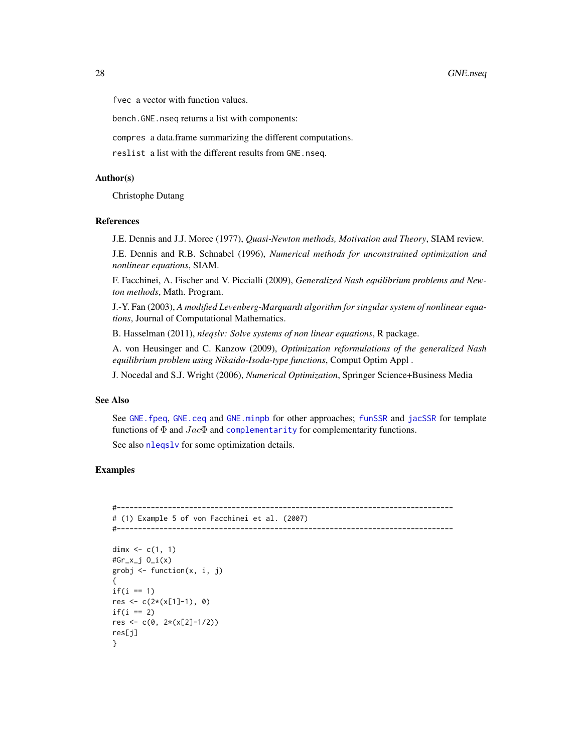<span id="page-27-0"></span>fvec a vector with function values.

bench.GNE.nseq returns a list with components:

compres a data.frame summarizing the different computations.

reslist a list with the different results from GNE.nseq.

#### Author(s)

Christophe Dutang

#### References

J.E. Dennis and J.J. Moree (1977), *Quasi-Newton methods, Motivation and Theory*, SIAM review.

J.E. Dennis and R.B. Schnabel (1996), *Numerical methods for unconstrained optimization and nonlinear equations*, SIAM.

F. Facchinei, A. Fischer and V. Piccialli (2009), *Generalized Nash equilibrium problems and Newton methods*, Math. Program.

J.-Y. Fan (2003), *A modified Levenberg-Marquardt algorithm for singular system of nonlinear equations*, Journal of Computational Mathematics.

B. Hasselman (2011), *nleqslv: Solve systems of non linear equations*, R package.

A. von Heusinger and C. Kanzow (2009), *Optimization reformulations of the generalized Nash equilibrium problem using Nikaido-Isoda-type functions*, Comput Optim Appl .

J. Nocedal and S.J. Wright (2006), *Numerical Optimization*, Springer Science+Business Media

#### See Also

See GNE. fpeq, GNE. ceq and GNE. minpb for other approaches; [funSSR](#page-35-1) and [jacSSR](#page-35-1) for template functions of  $\Phi$  and  $Jac\Phi$  and [complementarity](#page-7-1) for complementarity functions.

See also [nleqslv](#page-0-0) for some optimization details.

# Examples

```
#-------------------------------------------------------------------------------
# (1) Example 5 of von Facchinei et al. (2007)
#-------------------------------------------------------------------------------
dimx <-c(1, 1)#Gr_x_j O_i(x)
grobj <- function(x, i, j)
{
if(i == 1)res <- c(2*(x[1]-1), 0)
if(i == 2)res <- c(0, 2*(x[2]-1/2))
res[j]
}
```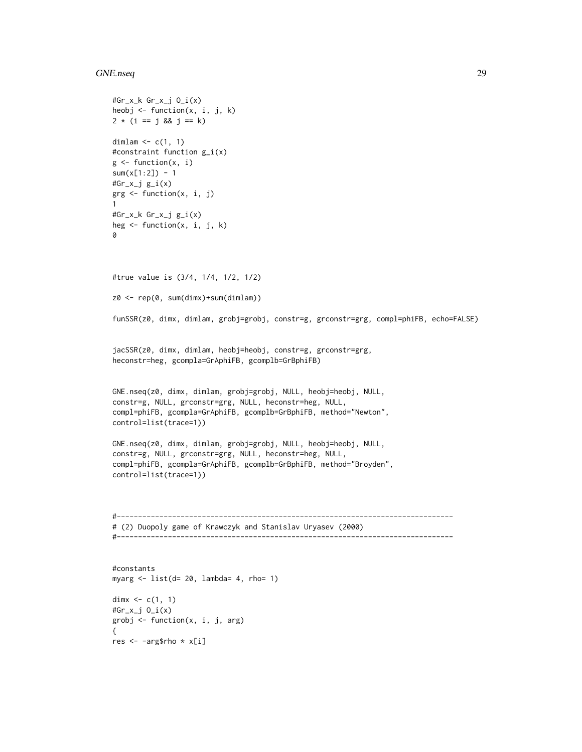```
#Gr_x_k Gr_x_j O_i(x)
heobj \leq function(x, i, j, k)
2 * (i == j & 8 & j == k)dimlam \leq c(1, 1)#constraint function g_i(x)
g \leftarrow function(x, i)sum(x[1:2]) - 1#Gr_x_j g_i(x)grg <- function(x, i, j)
1
#Gr_x_k Gr_x_j g_i(x)
heg \leq function(x, i, j, k)
\Omega#true value is (3/4, 1/4, 1/2, 1/2)
z0 <- rep(0, sum(dimx)+sum(dimlam))
funSSR(z0, dimx, dimlam, grobj=grobj, constr=g, grconstr=grg, compl=phiFB, echo=FALSE)
jacSSR(z0, dimx, dimlam, heobj=heobj, constr=g, grconstr=grg,
heconstr=heg, gcompla=GrAphiFB, gcomplb=GrBphiFB)
GNE.nseq(z0, dimx, dimlam, grobj=grobj, NULL, heobj=heobj, NULL,
constr=g, NULL, grconstr=grg, NULL, heconstr=heg, NULL,
compl=phiFB, gcompla=GrAphiFB, gcomplb=GrBphiFB, method="Newton",
control=list(trace=1))
GNE.nseq(z0, dimx, dimlam, grobj=grobj, NULL, heobj=heobj, NULL,
constr=g, NULL, grconstr=grg, NULL, heconstr=heg, NULL,
compl=phiFB, gcompla=GrAphiFB, gcomplb=GrBphiFB, method="Broyden",
control=list(trace=1))
#-------------------------------------------------------------------------------
# (2) Duopoly game of Krawczyk and Stanislav Uryasev (2000)
#-------------------------------------------------------------------------------
```
#constants myarg  $\le$  list(d= 20, lambda= 4, rho= 1) dim $x \leq c(1, 1)$ #Gr\_x\_j O\_i(x) grobj <- function(x, i, j, arg) { res <- -arg\$rho \* x[i]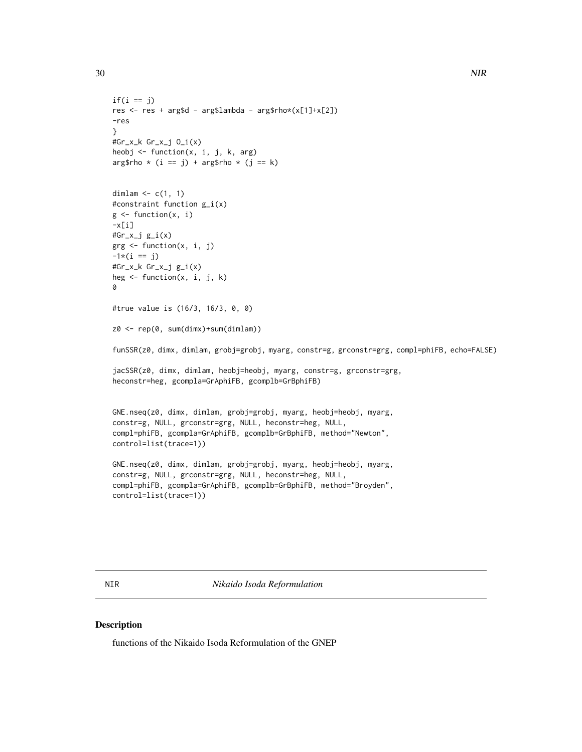```
if(i == j)res <- res + arg$d - arg$lambda - arg$rho*(x[1]+x[2])
-res
}
#Gr_x_k Gr_x_j O_i(x)
heobj <- function(x, i, j, k, arg)
arg$rho * (i == j) + arg$rho * (j == k)dimlam \leq c(1, 1)#constraint function g_i(x)
g <- function(x, i)
-x[i]#Gr_x_j g_i(x)
grg <- function(x, i, j)
-1*(i == j)#Gr_x_k Gr_x_j g_i(x)
heg \leq function(x, i, j, k)
\Omega#true value is (16/3, 16/3, 0, 0)
z0 <- rep(0, sum(dimx)+sum(dimlam))
funSSR(z0, dimx, dimlam, grobj=grobj, myarg, constr=g, grconstr=grg, compl=phiFB, echo=FALSE)
jacSSR(z0, dimx, dimlam, heobj=heobj, myarg, constr=g, grconstr=grg,
heconstr=heg, gcompla=GrAphiFB, gcomplb=GrBphiFB)
GNE.nseq(z0, dimx, dimlam, grobj=grobj, myarg, heobj=heobj, myarg,
constr=g, NULL, grconstr=grg, NULL, heconstr=heg, NULL,
compl=phiFB, gcompla=GrAphiFB, gcomplb=GrBphiFB, method="Newton",
control=list(trace=1))
```

```
GNE.nseq(z0, dimx, dimlam, grobj=grobj, myarg, heobj=heobj, myarg,
constr=g, NULL, grconstr=grg, NULL, heconstr=heg, NULL,
compl=phiFB, gcompla=GrAphiFB, gcomplb=GrBphiFB, method="Broyden",
control=list(trace=1))
```
NIR *Nikaido Isoda Reformulation*

### Description

functions of the Nikaido Isoda Reformulation of the GNEP

<span id="page-29-0"></span>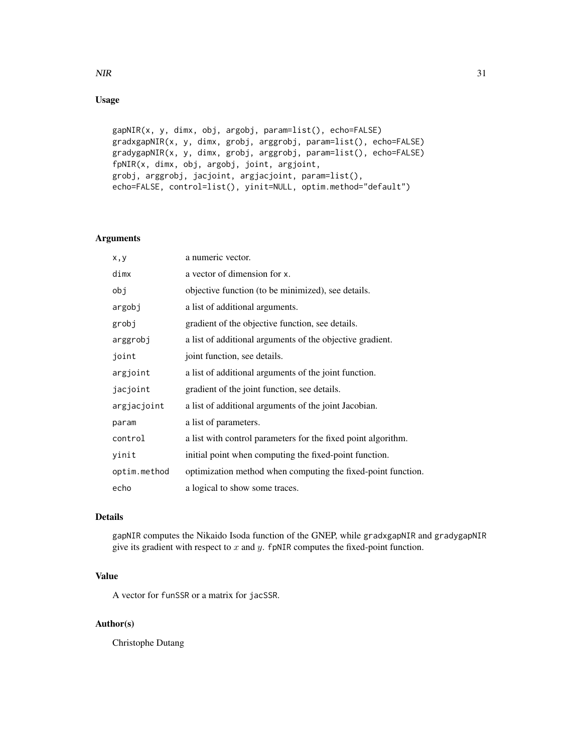# Usage

```
gapNIR(x, y, dimx, obj, argobj, param=list(), echo=FALSE)
gradxgapNIR(x, y, dimx, grobj, arggrobj, param=list(), echo=FALSE)
gradygapNIR(x, y, dimx, grobj, arggrobj, param=list(), echo=FALSE)
fpNIR(x, dimx, obj, argobj, joint, argjoint,
grobj, arggrobj, jacjoint, argjacjoint, param=list(),
echo=FALSE, control=list(), yinit=NULL, optim.method="default")
```
#### Arguments

| x, y         | a numeric vector.                                             |
|--------------|---------------------------------------------------------------|
| dimx         | a vector of dimension for x.                                  |
| obj          | objective function (to be minimized), see details.            |
| argobj       | a list of additional arguments.                               |
| grobj        | gradient of the objective function, see details.              |
| arggrobj     | a list of additional arguments of the objective gradient.     |
| joint        | joint function, see details.                                  |
| argjoint     | a list of additional arguments of the joint function.         |
| jacjoint     | gradient of the joint function, see details.                  |
| argjacjoint  | a list of additional arguments of the joint Jacobian.         |
| param        | a list of parameters.                                         |
| control      | a list with control parameters for the fixed point algorithm. |
| yinit        | initial point when computing the fixed-point function.        |
| optim.method | optimization method when computing the fixed-point function.  |
| echo         | a logical to show some traces.                                |

# Details

gapNIR computes the Nikaido Isoda function of the GNEP, while gradxgapNIR and gradygapNIR give its gradient with respect to  $x$  and  $y$ . fpNIR computes the fixed-point function.

# Value

A vector for funSSR or a matrix for jacSSR.

#### Author(s)

Christophe Dutang

 $NIR$  31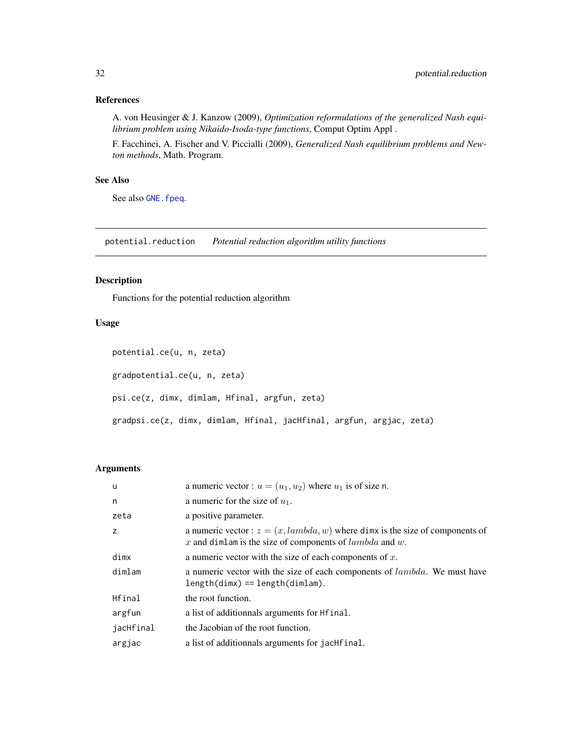# <span id="page-31-0"></span>References

A. von Heusinger & J. Kanzow (2009), *Optimization reformulations of the generalized Nash equilibrium problem using Nikaido-Isoda-type functions*, Comput Optim Appl .

F. Facchinei, A. Fischer and V. Piccialli (2009), *Generalized Nash equilibrium problems and Newton methods*, Math. Program.

#### See Also

See also GNE. fpeq.

potential.reduction *Potential reduction algorithm utility functions*

#### Description

Functions for the potential reduction algorithm

# Usage

```
potential.ce(u, n, zeta)
```
gradpotential.ce(u, n, zeta)

psi.ce(z, dimx, dimlam, Hfinal, argfun, zeta)

gradpsi.ce(z, dimx, dimlam, Hfinal, jacHfinal, argfun, argjac, zeta)

#### Arguments

| <b>u</b>  | a numeric vector : $u = (u_1, u_2)$ where $u_1$ is of size n.                                                                                |
|-----------|----------------------------------------------------------------------------------------------------------------------------------------------|
| n         | a numeric for the size of $u_1$ .                                                                                                            |
| zeta      | a positive parameter.                                                                                                                        |
| z         | a numeric vector : $z = (x, lambda, w)$ where dimx is the size of components of<br>x and dimlam is the size of components of $lambda$ and w. |
| dimx      | a numeric vector with the size of each components of $x$ .                                                                                   |
| dimlam    | a numeric vector with the size of each components of <i>lambda</i> . We must have<br>$length(dimx) == length(dimlam).$                       |
| Hfinal    | the root function.                                                                                                                           |
| argfun    | a list of additionnals arguments for Helinal.                                                                                                |
| jacHfinal | the Jacobian of the root function.                                                                                                           |
| argjac    | a list of additionnals arguments for jachtrinal.                                                                                             |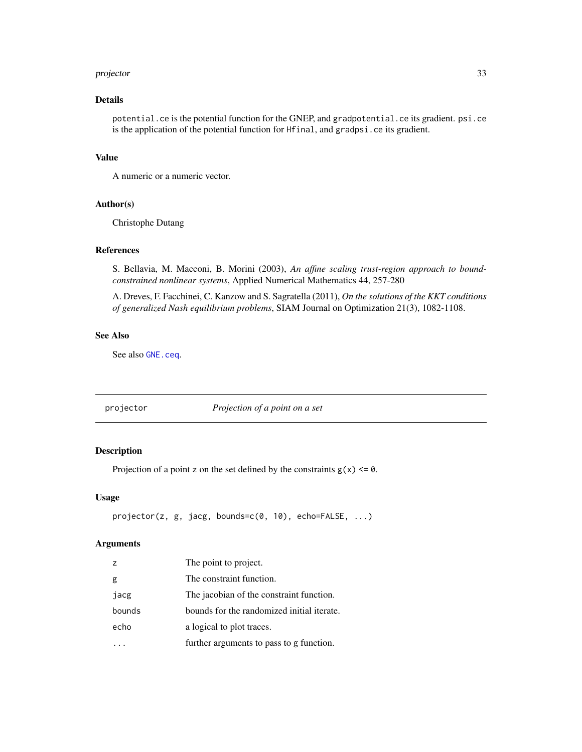#### <span id="page-32-0"></span>projector 33

# Details

potential.ce is the potential function for the GNEP, and gradpotential.ce its gradient. psi.ce is the application of the potential function for Hfinal, and gradpsi.ce its gradient.

#### Value

A numeric or a numeric vector.

# Author(s)

Christophe Dutang

#### References

S. Bellavia, M. Macconi, B. Morini (2003), *An affine scaling trust-region approach to boundconstrained nonlinear systems*, Applied Numerical Mathematics 44, 257-280

A. Dreves, F. Facchinei, C. Kanzow and S. Sagratella (2011), *On the solutions of the KKT conditions of generalized Nash equilibrium problems*, SIAM Journal on Optimization 21(3), 1082-1108.

#### See Also

See also [GNE.ceq](#page-13-1).

<span id="page-32-1"></span>projector *Projection of a point on a set*

# Description

Projection of a point z on the set defined by the constraints  $g(x) \le 0$ .

#### Usage

```
projector(z, g, jacg, bounds=c(0, 10), echo=FALSE, ...)
```
#### Arguments

| $\overline{z}$ | The point to project.                      |
|----------------|--------------------------------------------|
| g              | The constraint function.                   |
| jacg           | The jacobian of the constraint function.   |
| bounds         | bounds for the randomized initial iterate. |
| echo           | a logical to plot traces.                  |
|                | further arguments to pass to g function.   |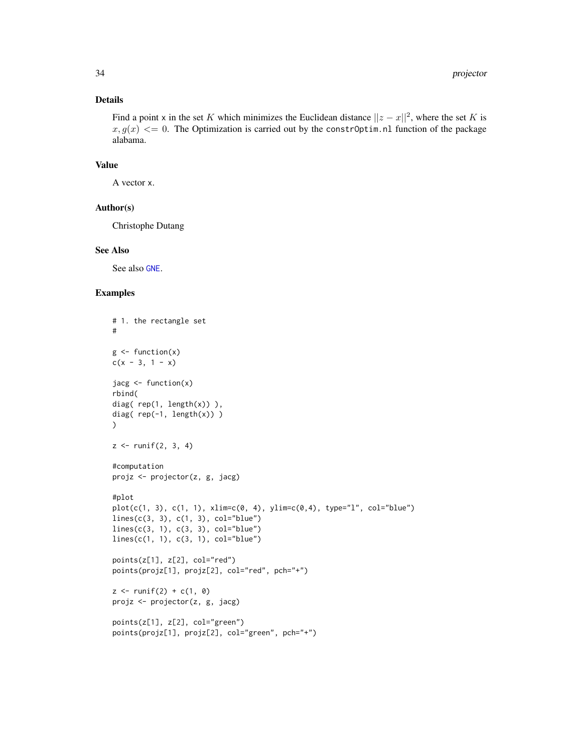#### <span id="page-33-0"></span>Details

Find a point x in the set K which minimizes the Euclidean distance  $||z - x||^2$ , where the set K is  $x, g(x) \leq 0$ . The Optimization is carried out by the constr0ptim.nl function of the package alabama.

#### Value

A vector x.

#### Author(s)

Christophe Dutang

#### See Also

See also [GNE](#page-11-1).

#### Examples

```
# 1. the rectangle set
#
g \leftarrow function(x)c(x - 3, 1 - x)jacg <- function(x)
rbind(
diag( rep(1, length(x)) ),
diag( rep(-1, length(x)) )
)
z \le runif(2, 3, 4)
#computation
projz <- projector(z, g, jacg)
#plot
plot(c(1, 3), c(1, 1), xlim=c(0, 4), ylim=c(0,4), type="1", col="blue")lines(c(3, 3), c(1, 3), col="blue")lines(c(3, 1), c(3, 3), col="blue")lines(c(1, 1), c(3, 1), col="blue")
points(z[1], z[2], col="red")
points(projz[1], projz[2], col="red", pch="+")
z \le runif(2) + c(1, 0)
projz <- projector(z, g, jacg)
points(z[1], z[2], col="green")
points(projz[1], projz[2], col="green", pch="+")
```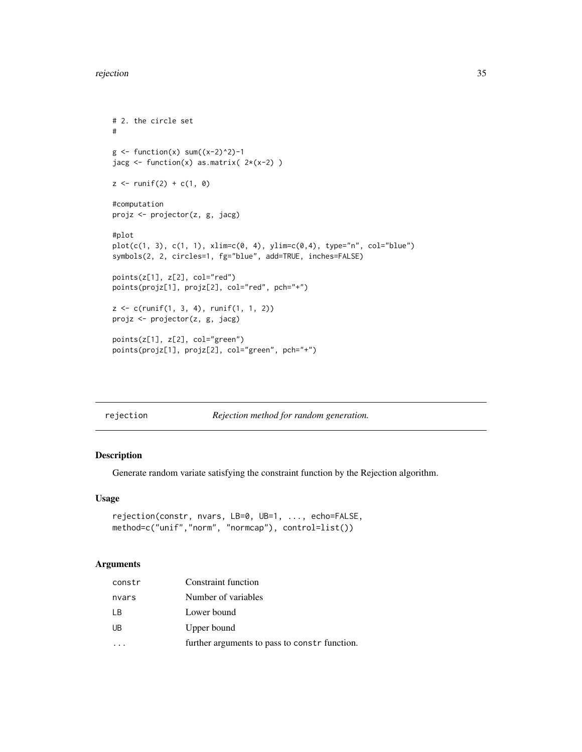#### <span id="page-34-0"></span>rejection 35

```
# 2. the circle set
#
g \leftarrow function(x) sum((x-2)^2)-1jacg \le function(x) as.matrix( 2*(x-2) )
z \le runif(2) + c(1, 0)
#computation
projz <- projector(z, g, jacg)
#plot
plot(c(1, 3), c(1, 1), xlim=c(0, 4), ylim=c(0,4), type="n", col="blue")symbols(2, 2, circles=1, fg="blue", add=TRUE, inches=FALSE)
points(z[1], z[2], col="red")
points(projz[1], projz[2], col="red", pch="+")
z <- c(runif(1, 3, 4), runif(1, 1, 2))
projz <- projector(z, g, jacg)
points(z[1], z[2], col="green")
points(projz[1], projz[2], col="green", pch="+")
```
<span id="page-34-1"></span>

|  | rejection |
|--|-----------|
|  |           |

rejection *Rejection method for random generation.*

# Description

Generate random variate satisfying the constraint function by the Rejection algorithm.

#### Usage

```
rejection(constr, nvars, LB=0, UB=1, ..., echo=FALSE,
method=c("unif","norm", "normcap"), control=list())
```
# Arguments

| constr | Constraint function                           |
|--------|-----------------------------------------------|
| nvars  | Number of variables                           |
| I B    | Lower bound                                   |
| UB     | Upper bound                                   |
|        | further arguments to pass to constr function. |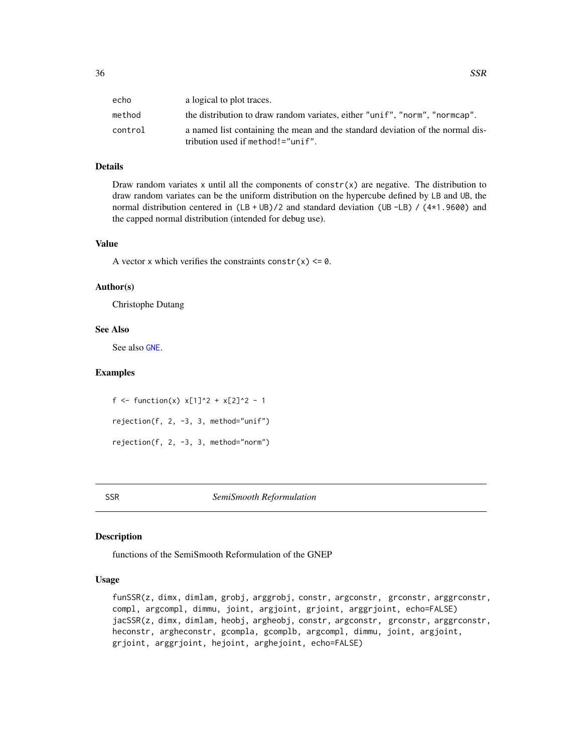<span id="page-35-0"></span>

| echo    | a logical to plot traces.                                                      |
|---------|--------------------------------------------------------------------------------|
| method  | the distribution to draw random variates, either "unif", "norm", "normcap".    |
| control | a named list containing the mean and the standard deviation of the normal dis- |
|         | tribution used if method!="unif".                                              |

# Details

Draw random variates x until all the components of constr $(x)$  are negative. The distribution to draw random variates can be the uniform distribution on the hypercube defined by LB and UB, the normal distribution centered in (LB + UB)/2 and standard deviation (UB -LB) / (4\*1.9600) and the capped normal distribution (intended for debug use).

#### Value

A vector x which verifies the constraints constr(x)  $\leq \theta$ .

# Author(s)

Christophe Dutang

#### See Also

See also [GNE](#page-11-1).

#### Examples

f <- function(x)  $x[1]^2 + x[2]^2 - 1$ rejection(f, 2, -3, 3, method="unif") rejection(f, 2, -3, 3, method="norm")

SSR *SemiSmooth Reformulation*

#### <span id="page-35-1"></span>Description

functions of the SemiSmooth Reformulation of the GNEP

## Usage

```
funSSR(z, dimx, dimlam, grobj, arggrobj, constr, argconstr, grconstr, arggrconstr,
compl, argcompl, dimmu, joint, argjoint, grjoint, arggrjoint, echo=FALSE)
jacSSR(z, dimx, dimlam, heobj, argheobj, constr, argconstr, grconstr, arggrconstr,
heconstr, argheconstr, gcompla, gcomplb, argcompl, dimmu, joint, argjoint,
grjoint, arggrjoint, hejoint, arghejoint, echo=FALSE)
```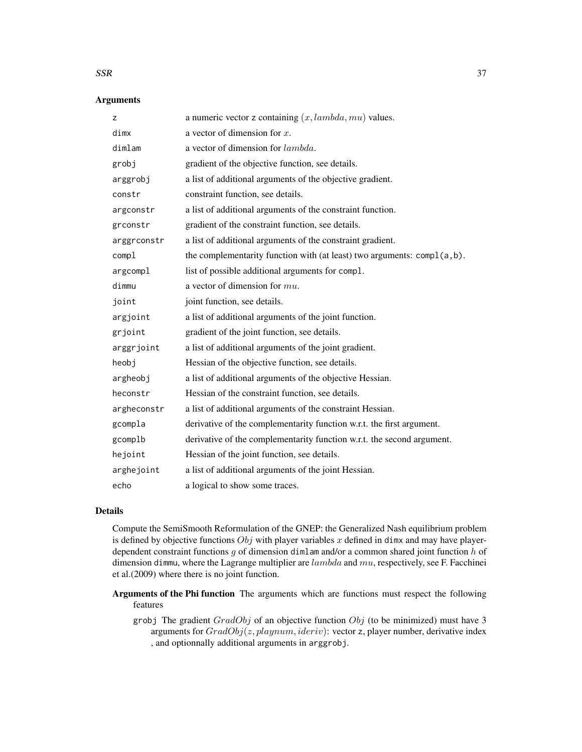#### $SSR$  37

#### Arguments

| Z           | a numeric vector z containing $(x, lambda, mu)$ values.                 |
|-------------|-------------------------------------------------------------------------|
| dimx        | a vector of dimension for $x$ .                                         |
| dimlam      | a vector of dimension for lambda.                                       |
| grobj       | gradient of the objective function, see details.                        |
| arggrobj    | a list of additional arguments of the objective gradient.               |
| constr      | constraint function, see details.                                       |
| argconstr   | a list of additional arguments of the constraint function.              |
| grconstr    | gradient of the constraint function, see details.                       |
| arggrconstr | a list of additional arguments of the constraint gradient.              |
| compl       | the complementarity function with (at least) two arguments: compl(a,b). |
| argcompl    | list of possible additional arguments for compl.                        |
| dimmu       | a vector of dimension for $mu$ .                                        |
| joint       | joint function, see details.                                            |
| argjoint    | a list of additional arguments of the joint function.                   |
| grjoint     | gradient of the joint function, see details.                            |
| arggrjoint  | a list of additional arguments of the joint gradient.                   |
| heobj       | Hessian of the objective function, see details.                         |
| argheobj    | a list of additional arguments of the objective Hessian.                |
| heconstr    | Hessian of the constraint function, see details.                        |
| argheconstr | a list of additional arguments of the constraint Hessian.               |
| gcompla     | derivative of the complementarity function w.r.t. the first argument.   |
| gcomplb     | derivative of the complementarity function w.r.t. the second argument.  |
| hejoint     | Hessian of the joint function, see details.                             |
| arghejoint  | a list of additional arguments of the joint Hessian.                    |
| echo        | a logical to show some traces.                                          |

#### Details

Compute the SemiSmooth Reformulation of the GNEP: the Generalized Nash equilibrium problem is defined by objective functions  $Obj$  with player variables x defined in dimx and may have playerdependent constraint functions g of dimension dimlam and/or a common shared joint function  $h$  of dimension dimmu, where the Lagrange multiplier are  $lambda$  and  $mu$ , respectively, see F. Facchinei et al.(2009) where there is no joint function.

Arguments of the Phi function The arguments which are functions must respect the following features

grobj The gradient  $GradObj$  of an objective function  $Obj$  (to be minimized) must have 3 arguments for  $GradObj(z, playnum, ideriv)$ : vector z, player number, derivative index , and optionnally additional arguments in arggrobj.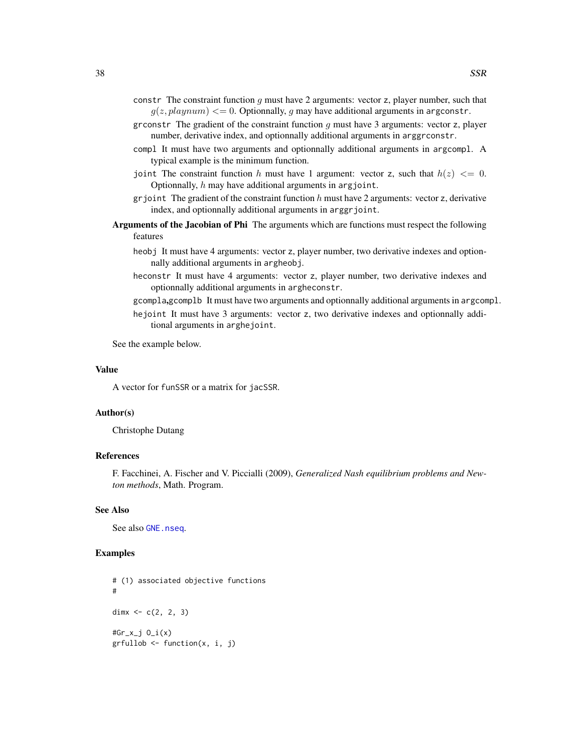- <span id="page-37-0"></span>constr The constraint function  $g$  must have 2 arguments: vector z, player number, such that  $g(z, playnum) \leq 0$ . Optionnally, g may have additional arguments in argconstr.
- grconstr The gradient of the constraint function  $g$  must have 3 arguments: vector  $z$ , player number, derivative index, and optionnally additional arguments in arggrconstr.
- compl It must have two arguments and optionnally additional arguments in argcompl. A typical example is the minimum function.
- joint The constraint function h must have 1 argument: vector z, such that  $h(z) \leq 0$ . Optionnally, h may have additional arguments in argjoint.
- grjoint The gradient of the constraint function  $h$  must have 2 arguments: vector z, derivative index, and optionnally additional arguments in arggrjoint.
- Arguments of the Jacobian of Phi The arguments which are functions must respect the following features
	- heobj It must have 4 arguments: vector z, player number, two derivative indexes and optionnally additional arguments in argheobj.
	- heconstr It must have 4 arguments: vector z, player number, two derivative indexes and optionnally additional arguments in argheconstr.
	- gcompla,gcomplb It must have two arguments and optionnally additional arguments in argcompl.
	- hejoint It must have 3 arguments: vector z, two derivative indexes and optionnally additional arguments in arghejoint.

See the example below.

#### Value

A vector for funSSR or a matrix for jacSSR.

#### Author(s)

Christophe Dutang

#### References

F. Facchinei, A. Fischer and V. Piccialli (2009), *Generalized Nash equilibrium problems and Newton methods*, Math. Program.

#### See Also

See also [GNE.nseq](#page-23-1).

#### Examples

# (1) associated objective functions # dimx  $<-c(2, 2, 3)$  $#Gr_x_j$   $0_i(x)$ grfullob <- function(x, i, j)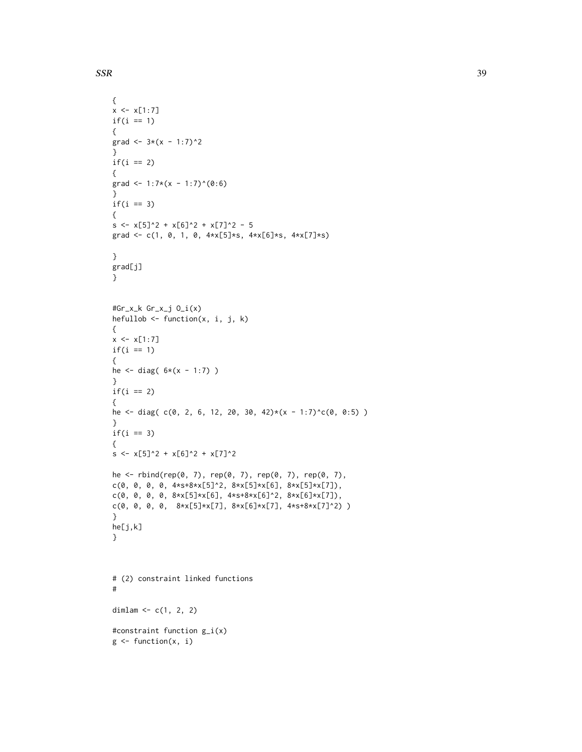$SSR$  39

```
{
x \leq x[1:7]if(i == 1){
grad <- 3*(x - 1:7)^2}
if(i == 2){
grad <- 1:7*(x - 1:7)^(0:6)}
if(i == 3){
s \leftarrow x[5]^2 + x[6]^2 + x[7]^2 - 5grad <- c(1, 0, 1, 0, 4*x[5]*s, 4*x[6]*s, 4*x[7]*s)
}
grad[j]
}
#Gr_x_k Gr_x_j O_i(x)
hefullob \leq function(x, i, j, k)
{
x \leftarrow x[1:7]if(i == 1){
he \le diag( 6*(x - 1:7) )
}
if(i == 2){
he <- diag( c(0, 2, 6, 12, 20, 30, 42)*(x - 1:7)^c(0, 0:5) )
}
if(i == 3){
s \leftarrow x[5]^2 + x[6]^2 + x[7]^2he <- rbind(rep(0, 7), rep(0, 7), rep(0, 7), rep(0, 7),
c(0, 0, 0, 0, 4*s+8*x[5]^2, 8*x[5]*x[6], 8*x[5]*x[7]),
c(0, 0, 0, 0, 8*x[5]*x[6], 4*s+8*x[6]^2, 8*x[6]*x[7]),
c(0, 0, 0, 0, 8*x[5]*x[7], 8*x[6]*x[7], 4*s+8*x[7]^2))
}
he[j,k]
}
# (2) constraint linked functions
#
dimlam <-c(1, 2, 2)#constraint function g_i(x)
g \leftarrow function(x, i)
```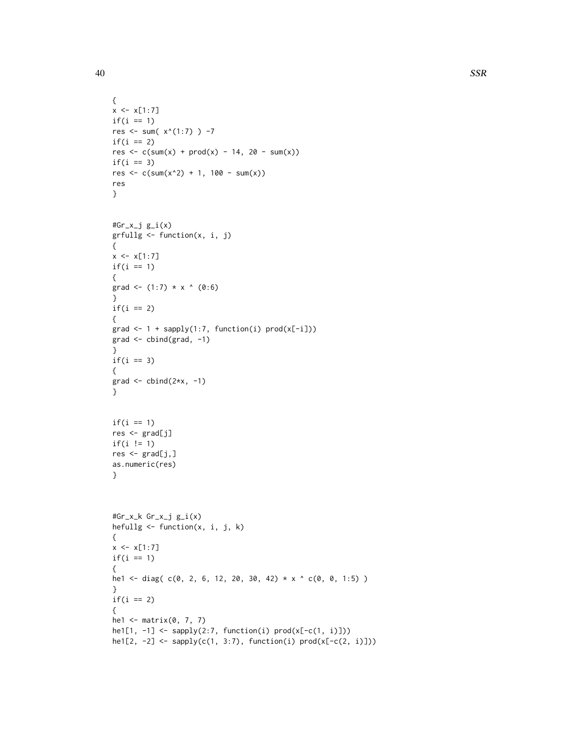```
{
x \leq x[1:7]if(i == 1)res <- sum(x^(1:7)) -7
if(i == 2)res \leq c(sum(x) + prod(x) - 14, 20 - sum(x))if(i == 3)res <- c(sum(x^2) + 1, 100 - sum(x))res
}
#Gr_x_j g_i(x)grfullg <- function(x, i, j)
{
x \le -x[1:7]if(i == 1){
grad <- (1:7) * x * (0:6)}
if(i == 2){
grad \leftarrow 1 + sapply(1:7, function(i) prod(x[-i]))grad <- cbind(grad, -1)
}
if(i == 3){
grad \le cbind(2*x, -1)
}
if(i == 1)res <- grad[j]
if(i != 1)
res <- grad[j,]
as.numeric(res)
}
#Gr_x_k Gr_x_j g_i(x)
hefullg <- function(x, i, j, k)
{
x \leq x[1:7]if(i == 1){
he1 <- diag( c(0, 2, 6, 12, 20, 30, 42) * x ^ c(0, 0, 1:5) )
}
if(i == 2){
he1 <- matrix(0, 7, 7)
he1[1, -1] <- sapply(2:7, function(i) prod(x[-c(1, i)]))he1[2, -2] <- sapply(c(1, 3:7), function(i) prod(x[-c(2, i)]))
```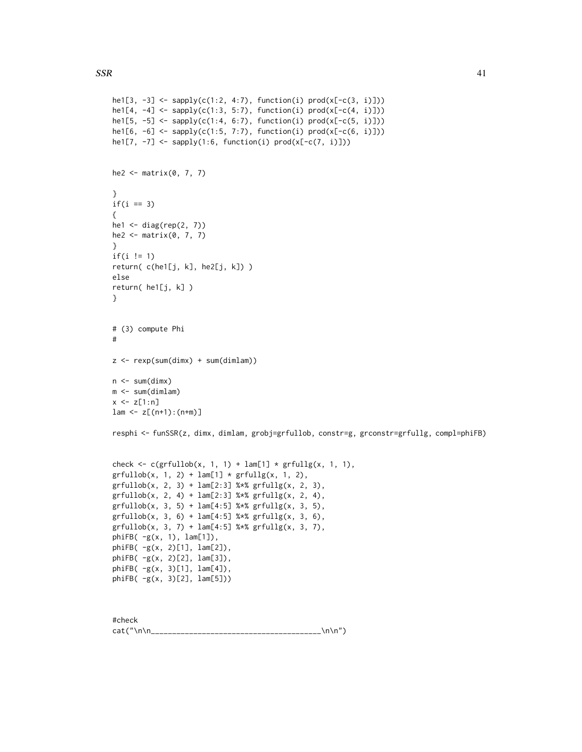```
he1[3, -3] <- sapply(c(1:2, 4:7), function(i) prod(x[-c(3, i)]))
he1[4, -4] <- sapply(c(1:3, 5:7), function(i) prod(x[-c(4, i)]))
he1[5, -5] <- sapply(c(1:4, 6:7), function(i) prod(x[-c(5, i)]))he1[6, -6] <- sapply(c(1:5, 7:7), function(i) prod(x[-c(6, i)]))he1[7, -7] <- sapply(1:6, function(i) prod(x[-c(7, i)]))he2 <- matrix(0, 7, 7)
}
if(i == 3){
he1 <- diag(rep(2, 7))
he2 \leq matrix(0, 7, 7)
}
if(i != 1)
return( c(he1[j, k], he2[j, k]) )
else
return( he1[j, k] )
}
# (3) compute Phi
#
z <- rexp(sum(dimx) + sum(dimlam))
n \leq -\text{sum}(\text{dim} x)m <- sum(dimlam)
x \leq z[1:n]lam <- z[(n+1):(n+m)]resphi <- funSSR(z, dimx, dimlam, grobj=grfullob, constr=g, grconstr=grfullg, compl=phiFB)
check \leq c(grfullob(x, 1, 1) + lam[1] * grfullg(x, 1, 1),
grfullob(x, 1, 2) + lam[1] * grfullg(x, 1, 2),grfullob(x, 2, 3) + lam[2:3] %*% grfullg(x, 2, 3),
grfullob(x, 2, 4) + lam[2:3] %*% grfullg(x, 2, 4),grfullob(x, 3, 5) + lam[4:5] %*% grfullg(x, 3, 5),
grfullob(x, 3, 6) + lam[4:5] %*% grfullg(x, 3, 6),
grfullob(x, 3, 7) + lam[4:5] %*% grfullg(x, 3, 7),
phiFB( -g(x, 1), lam[1]),
phiFB( -g(x, 2)[1], lam[2]),
phiFB( -g(x, 2)[2], lam[3]),
phiFB( -g(x, 3)[1], lam[4]),
phiFB( -g(x, 3)[2], lam[5]))
```
#check cat("\n\n\_\_\_\_\_\_\_\_\_\_\_\_\_\_\_\_\_\_\_\_\_\_\_\_\_\_\_\_\_\_\_\_\_\_\_\_\_\_\_\_\n\n")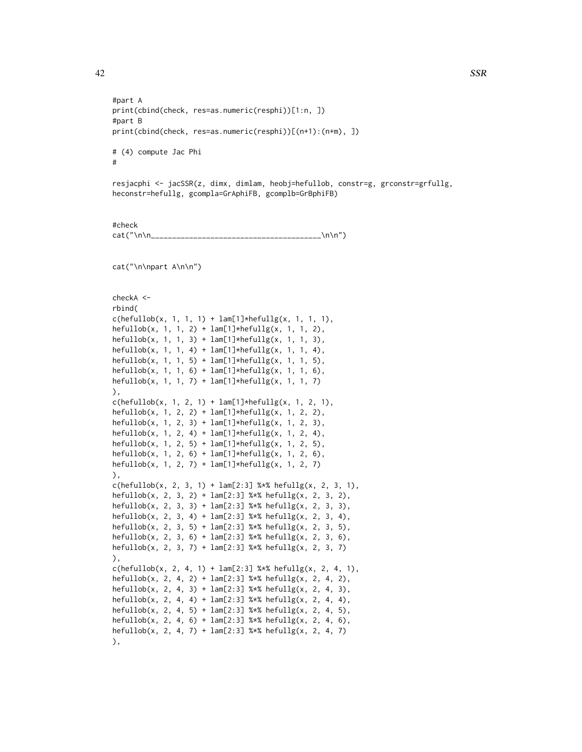#part A

#part B

#

```
print(cbind(check, res=as.numeric(resphi))[(n+1):(n+m), ])
```
resjacphi <- jacSSR(z, dimx, dimlam, heobj=hefullob, constr=g, grconstr=grfullg, heconstr=hefullg, gcompla=GrAphiFB, gcomplb=GrBphiFB)

#check cat("\n\n\_\_\_\_\_\_\_\_\_\_\_\_\_\_\_\_\_\_\_\_\_\_\_\_\_\_\_\_\_\_\_\_\_\_\_\_\_\_\_\_\n\n")

print(cbind(check, res=as.numeric(resphi))[1:n, ])

cat("\n\npart A\n\n")

# (4) compute Jac Phi

```
checkA <-
rbind(
c(hefullob(x, 1, 1, 1) + lam[1]*hefully(x, 1, 1, 1),hefullob(x, 1, 1, 2) + lam[1]*hefullg(x, 1, 1, 2),hefullob(x, 1, 1, 3) + lam[1]*hefullg(x, 1, 1, 3),hefullob(x, 1, 1, 4) + lam[1]*hefullg(x, 1, 1, 4),
hefullob(x, 1, 1, 5) + lam[1]*hefullg(x, 1, 1, 5),hefullob(x, 1, 1, 6) + lam[1]*hefullg(x, 1, 1, 6),hefullob(x, 1, 1, 7) + lam[1]*hefullg(x, 1, 1, 7)),
c(hefullob(x, 1, 2, 1) + lam[1]*hefullg(x, 1, 2, 1),
hefullob(x, 1, 2, 2) + lam[1]*hefullg(x, 1, 2, 2),hefullob(x, 1, 2, 3) + lam[1]*hefullg(x, 1, 2, 3),hefullob(x, 1, 2, 4) + lam[1]*hefullg(x, 1, 2, 4),hefullob(x, 1, 2, 5) + lam[1]*hefullg(x, 1, 2, 5),hefullob(x, 1, 2, 6) + lam[1]*hefullg(x, 1, 2, 6),hefullob(x, 1, 2, 7) + lam[1]*hefully(x, 1, 2, 7)),
c(hefullob(x, 2, 3, 1) + lam[2:3] %*% hefullg(x, 2, 3, 1),
hefullob(x, 2, 3, 2) + lam[2:3] %*% hefullg(x, 2, 3, 2),
hefullob(x, 2, 3, 3) + lam[2:3] %*% hefullg(x, 2, 3, 3),
hefullob(x, 2, 3, 4) + lam[2:3] %*% hefullg(x, 2, 3, 4),
hefullob(x, 2, 3, 5) + lam[2:3] %*% hefullg(x, 2, 3, 5),
hefullob(x, 2, 3, 6) + lam[2:3] %*% hefullg(x, 2, 3, 6),
hefullob(x, 2, 3, 7) + lam[2:3] %*% hefullg(x, 2, 3, 7)
),
c(hefullob(x, 2, 4, 1) + lam[2:3] %*% hefullg(x, 2, 4, 1),
hefullob(x, 2, 4, 2) + lam[2:3] %*% hefullg(x, 2, 4, 2),
hefullob(x, 2, 4, 3) + lam[2:3] %*% hefullg(x, 2, 4, 3),
hefullob(x, 2, 4, 4) + lam[2:3] %*% hefullg(x, 2, 4, 4),
hefullob(x, 2, 4, 5) + lam[2:3] %*% hefullg(x, 2, 4, 5),
hefullob(x, 2, 4, 6) + lam[2:3] %*% hefullg(x, 2, 4, 6),
hefullob(x, 2, 4, 7) + lam[2:3] %*% hefullg(x, 2, 4, 7)
),
```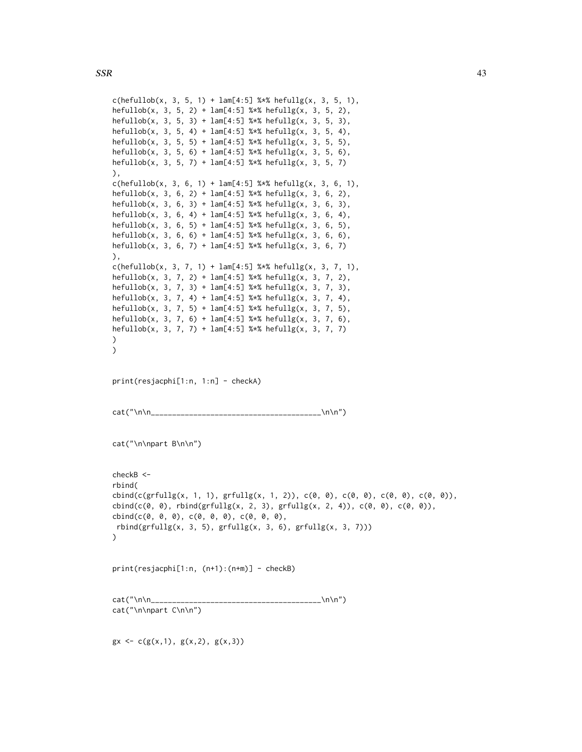```
c(hefullob(x, 3, 5, 1) + lam[4:5] %*% hefully(x, 3, 5, 1),hefullob(x, 3, 5, 2) + lam[4:5] %*% hefullg(x, 3, 5, 2),
hefullob(x, 3, 5, 3) + lam[4:5] %*% hefullg(x, 3, 5, 3),
hefullob(x, 3, 5, 4) + lam[4:5] %*% hefullg(x, 3, 5, 4),
hefullob(x, 3, 5, 5) + lam[4:5] %*% hefullg(x, 3, 5, 5),
hefullob(x, 3, 5, 6) + lam[4:5] %*% hefullg(x, 3, 5, 6),
hefullob(x, 3, 5, 7) + lam[4:5] %*% hefullg(x, 3, 5, 7)
),
c(hefullob(x, 3, 6, 1) + lam[4:5] %*% hefullg(x, 3, 6, 1),
hefullob(x, 3, 6, 2) + lam[4:5] %*% hefullg(x, 3, 6, 2),
hefullob(x, 3, 6, 3) + lam[4:5] %*% hefullg(x, 3, 6, 3),
hefullob(x, 3, 6, 4) + lam[4:5] %*% hefullg(x, 3, 6, 4),
hefullob(x, 3, 6, 5) + lam[4:5] %*% hefullg(x, 3, 6, 5),
hefullob(x, 3, 6, 6) + lam[4:5] %*% hefullg(x, 3, 6, 6),
hefullob(x, 3, 6, 7) + lam[4:5] %*% hefullg(x, 3, 6, 7)
),
c(hefullob(x, 3, 7, 1) + lam[4:5] %*% hefullg(x, 3, 7, 1),
hefullob(x, 3, 7, 2) + lam[4:5] %*% hefullg(x, 3, 7, 2),
hefullob(x, 3, 7, 3) + lam[4:5] %*% hefullg(x, 3, 7, 3),
hefullob(x, 3, 7, 4) + lam[4:5] %*% hefullg(x, 3, 7, 4),
hefullob(x, 3, 7, 5) + lam[4:5] %*% hefullg(x, 3, 7, 5),
hefullob(x, 3, 7, 6) + lam[4:5] %*% hefullg(x, 3, 7, 6),
hefullob(x, 3, 7, 7) + lam[4:5] %*% hefullg(x, 3, 7, 7)
)
)
print(resjacphi[1:n, 1:n] - checkA)
cat("\n\n________________________________________\n\n")
cat("\n\npart B\n\n")
checkB <-
rbind(
cbind(c(grfullg(x, 1, 1), grfullg(x, 1, 2)), c(0, 0), c(0, 0), c(0, 0), c(0, 0)),
\text{cbind}(c(0, 0), \text{rbind}(grfullg(x, 2, 3), grfullg(x, 2, 4)), c(0, 0), c(0, 0)),cbind(c(0, 0, 0), c(0, 0, 0), c(0, 0, 0),
rbind(grfullg(x, 3, 5), grfullg(x, 3, 6), grfullg(x, 3, 7)))\lambdaprint(resjacphi[1:n, (n+1):(n+m)] - checkB)
cat("\n\n________________________________________\n\n")
cat("\n\npart C\n\n")
gx \leftarrow c(g(x,1), g(x,2), g(x,3))
```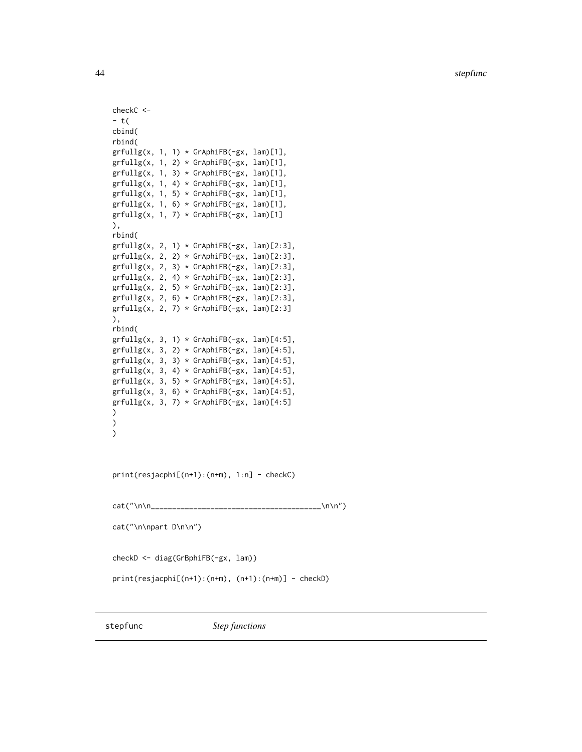```
checkC <-
- t(
cbind(
rbind(
grfullg(x, 1, 1) * GrAphiFB(-gx, lam)[1],grfullg(x, 1, 2) * GrAphiFB(-gx, lam)[1],grfullg(x, 1, 3) * GrAphiFB(-gx, lam)[1],grfullg(x, 1, 4) * GrAphiFB(-gx, lam)[1],grfullg(x, 1, 5) * GrAphiFB(-gx, lam)[1],grfullg(x, 1, 6) * GrAphiFB(-gx, lam)[1],grfullg(x, 1, 7) * GrAphiFB(-gx, lam)[1]),
rbind(
grfully(x, 2, 1) * GrAphiFB(-gx, lam)[2:3],grfullg(x, 2, 2) * GrAphiFB(-gx, lam)[2:3],grfullg(x, 2, 3) * GrAphiFB(-gx, lam)[2:3],grfullg(x, 2, 4) * GrAphiFB(-gx, lam)[2:3],grfullg(x, 2, 5) * GrAphiFB(-gx, lam)[2:3],grfullg(x, 2, 6) * GrAphiFB(-gx, lam)[2:3],grfullg(x, 2, 7) * GrAphiFB(-gx, lam)[2:3]),
rbind(
grfully(x, 3, 1) * GrAphiFB(-gx, lam)[4:5],grfullg(x, 3, 2) * GrAphiFB(-gx, lam)[4:5],grfullg(x, 3, 3) * GrAphiFB(-gx, lam)[4:5],grfullg(x, 3, 4) * GrAphiFB(-gx, lam)[4:5],grfully(x, 3, 5) * GrAphiFB(-gx, lam)[4:5],grfullg(x, 3, 6) * GrAphiFB(-gx, lam)[4:5],grfullg(x, 3, 7) * GrAphiFB(-gx, lam)[4:5])
\mathcal{L}\mathcal{L}print(resjacphi[(n+1):(n+m), 1:n] - checkC)
cat("\n\n________________________________________\n\n")
```

```
cat("\n\npart D\n\n")
```
checkD <- diag(GrBphiFB(-gx, lam))

```
print(resjacphi[(n+1):(n+m), (n+1):(n+m)] - checkD)
```
<span id="page-43-1"></span>

<span id="page-43-0"></span>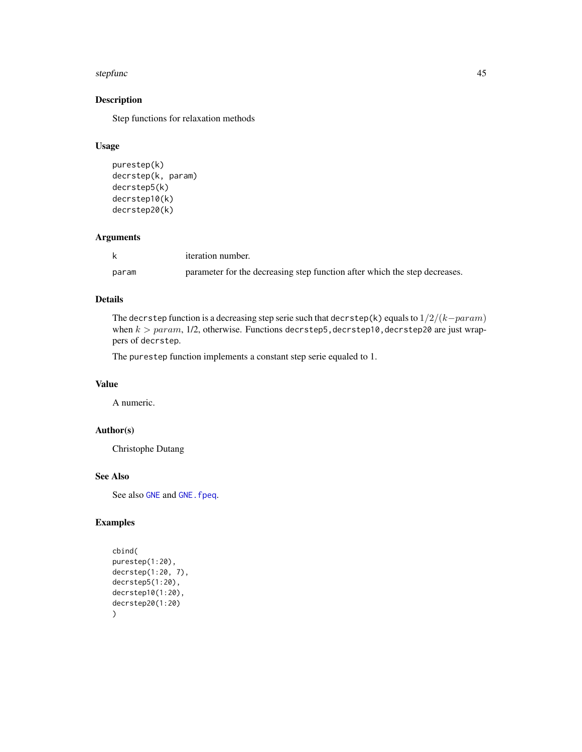#### <span id="page-44-0"></span>stepfunc and the step of the step of the step of the step of the step of the step of the step of the step of the step of the step of the step of the step of the step of the step of the step of the step of the step of the s

# Description

Step functions for relaxation methods

# Usage

```
purestep(k)
decrstep(k, param)
decrstep5(k)
decrstep10(k)
decrstep20(k)
```
#### Arguments

|       | <i>iteration number.</i>                                                   |
|-------|----------------------------------------------------------------------------|
| param | parameter for the decreasing step function after which the step decreases. |

# Details

The decrstep function is a decreasing step serie such that decrstep(k) equals to 1/2/(k−param) when  $k > param$ , 1/2, otherwise. Functions decrstep5, decrstep10, decrstep20 are just wrappers of decrstep.

The purestep function implements a constant step serie equaled to 1.

#### Value

A numeric.

#### Author(s)

Christophe Dutang

# See Also

See also [GNE](#page-11-1) and [GNE.fpeq](#page-17-1).

# Examples

```
cbind(
purestep(1:20),
decrstep(1:20, 7),
decrstep5(1:20),
decrstep10(1:20),
decrstep20(1:20)
\mathcal{L}
```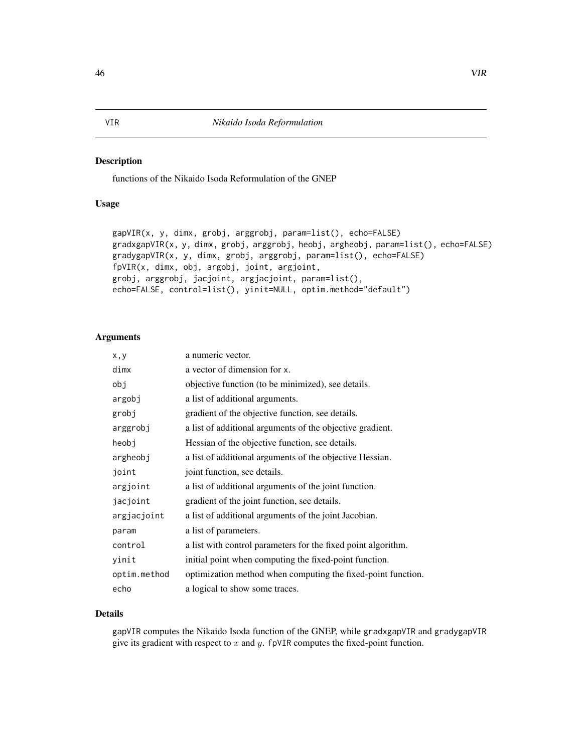#### <span id="page-45-0"></span>Description

functions of the Nikaido Isoda Reformulation of the GNEP

# Usage

```
gapVIR(x, y, dimx, grobj, arggrobj, param=list(), echo=FALSE)
gradxgapVIR(x, y, dimx, grobj, arggrobj, heobj, argheobj, param=list(), echo=FALSE)
gradygapVIR(x, y, dimx, grobj, arggrobj, param=list(), echo=FALSE)
fpVIR(x, dimx, obj, argobj, joint, argjoint,
grobj, arggrobj, jacjoint, argjacjoint, param=list(),
echo=FALSE, control=list(), yinit=NULL, optim.method="default")
```
#### Arguments

| x,y          | a numeric vector.                                             |
|--------------|---------------------------------------------------------------|
| dimx         | a vector of dimension for x.                                  |
| obj          | objective function (to be minimized), see details.            |
| argobj       | a list of additional arguments.                               |
| grobj        | gradient of the objective function, see details.              |
| arggrobj     | a list of additional arguments of the objective gradient.     |
| heobj        | Hessian of the objective function, see details.               |
| argheobj     | a list of additional arguments of the objective Hessian.      |
| joint        | joint function, see details.                                  |
| argjoint     | a list of additional arguments of the joint function.         |
| jacjoint     | gradient of the joint function, see details.                  |
| argjacjoint  | a list of additional arguments of the joint Jacobian.         |
| param        | a list of parameters.                                         |
| control      | a list with control parameters for the fixed point algorithm. |
| yinit        | initial point when computing the fixed-point function.        |
| optim.method | optimization method when computing the fixed-point function.  |
| echo         | a logical to show some traces.                                |

### Details

gapVIR computes the Nikaido Isoda function of the GNEP, while gradxgapVIR and gradygapVIR give its gradient with respect to  $x$  and  $y$ . fpVIR computes the fixed-point function.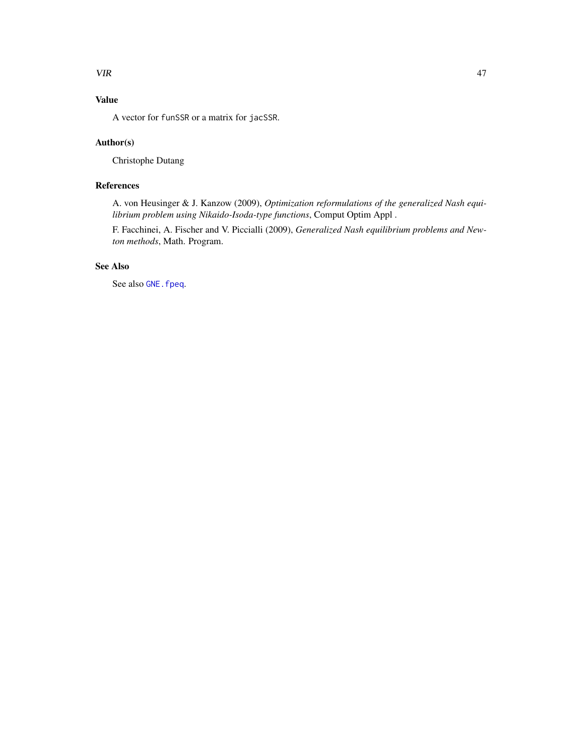## <span id="page-46-0"></span>VIR 27

# Value

A vector for funSSR or a matrix for jacSSR.

# Author(s)

Christophe Dutang

# References

A. von Heusinger & J. Kanzow (2009), *Optimization reformulations of the generalized Nash equilibrium problem using Nikaido-Isoda-type functions*, Comput Optim Appl .

F. Facchinei, A. Fischer and V. Piccialli (2009), *Generalized Nash equilibrium problems and Newton methods*, Math. Program.

# See Also

See also GNE. fpeq.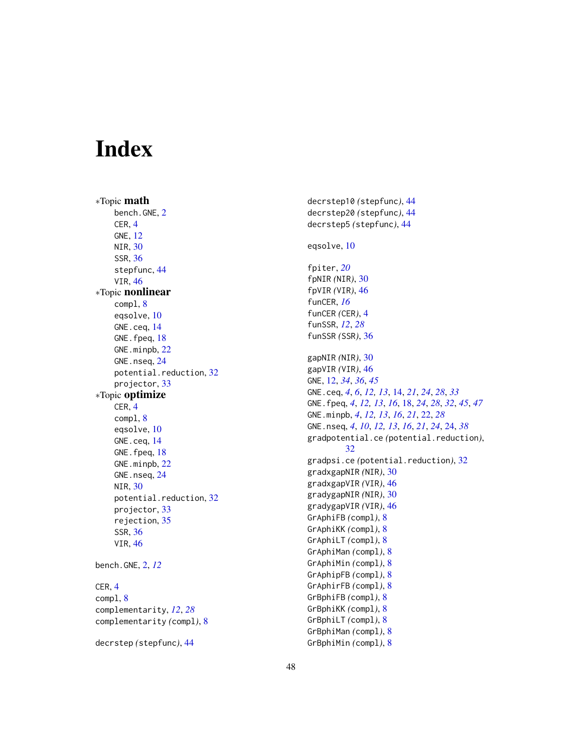# <span id="page-47-0"></span>Index

∗Topic math bench.GNE, [2](#page-1-0) CER , [4](#page-3-0) GNE , [12](#page-11-0) NIR , [30](#page-29-0) SSR , [36](#page-35-0) stepfunc , [44](#page-43-0) VIR , [46](#page-45-0) ∗Topic nonlinear compl , [8](#page-7-0) eqsolve , [10](#page-9-0) GNE.ceq , [14](#page-13-0) GNE.fpeq, [18](#page-17-0) GNE.minpb, [22](#page-21-0) GNE.nseq, [24](#page-23-0) potential.reduction, [32](#page-31-0) projector , [33](#page-32-0) ∗Topic optimize CER , [4](#page-3-0) compl , [8](#page-7-0) eqsolve , [10](#page-9-0) GNE.ceq , [14](#page-13-0) GNE.fpeq, [18](#page-17-0) GNE.minpb, [22](#page-21-0) GNE.nseq, [24](#page-23-0) NIR , [30](#page-29-0) potential.reduction, [32](#page-31-0) projector , [33](#page-32-0) rejection , [35](#page-34-0) SSR , [36](#page-35-0) VIR , [46](#page-45-0) bench.GNE , [2](#page-1-0) , *[12](#page-11-0)* CER , [4](#page-3-0) compl , [8](#page-7-0) complementarity , *[12](#page-11-0)* , *[28](#page-27-0)* complementarity *(*compl *)* , [8](#page-7-0)

```
decrstep
(stepfunc
)
, 44
```
decrstep10 *(*stepfunc *)* , [44](#page-43-0) decrstep20 *(*stepfunc *)* , [44](#page-43-0) decrstep5 *(*stepfunc *)* , [44](#page-43-0) eqsolve , [10](#page-9-0) fpiter , *[20](#page-19-0)* fpNIR *(*NIR *)* , [30](#page-29-0) fpVIR *(*VIR *)* , [46](#page-45-0) funCER , *[16](#page-15-0)* funCER *(*CER *)* , [4](#page-3-0) funSSR , *[12](#page-11-0)* , *[28](#page-27-0)* funSSR *(*SSR *)* , [36](#page-35-0) gapNIR (NIR), [30](#page-29-0) gapVIR (VIR), [46](#page-45-0) GNE, [12](#page-11-0), [34](#page-33-0), [36](#page-35-0), [45](#page-44-0) GNE.ceq, [4](#page-3-0), [6](#page-5-0), [12](#page-11-0), [13](#page-12-0), [14](#page-13-0), [21](#page-20-0), [24](#page-23-0), [28](#page-27-0), [33](#page-32-0) GNE. fpeq, [4](#page-3-0), [12](#page-11-0), [13](#page-12-0), [16](#page-15-0), [18](#page-17-0), [24](#page-23-0), [28](#page-27-0), [32](#page-31-0), [45](#page-44-0), [47](#page-46-0) GNE.minpb , *[4](#page-3-0)* , *[12](#page-11-0) , [13](#page-12-0)* , *[16](#page-15-0)* , *[21](#page-20-0)* , [22](#page-21-0) , *[28](#page-27-0)* GNE.nseq , *[4](#page-3-0)* , *[10](#page-9-0)* , *[12](#page-11-0) , [13](#page-12-0)* , *[16](#page-15-0)* , *[21](#page-20-0)* , *[24](#page-23-0)* , [24](#page-23-0) , *[38](#page-37-0)* gradpotential.ce *(*potential.reduction *)* , [32](#page-31-0) gradpsi.ce *(*potential.reduction *)* , [32](#page-31-0) gradxgapNIR *(*NIR *)* , [30](#page-29-0) gradxgapVIR *(*VIR *)* , [46](#page-45-0) gradygapNIR *(*NIR *)* , [30](#page-29-0) gradygapVIR *(*VIR *)* , [46](#page-45-0) GrAphiFB *(*compl *)* , [8](#page-7-0) GrAphiKK *(*compl *)* , [8](#page-7-0) GrAphiLT *(*compl *)* , [8](#page-7-0) GrAphiMan *(*compl *)* , [8](#page-7-0) GrAphiMin *(*compl *)* , [8](#page-7-0) GrAphipFB *(*compl *)* , [8](#page-7-0) GrAphirFB *(*compl *)* , [8](#page-7-0) GrBphiFB *(*compl *)* , [8](#page-7-0) GrBphiKK *(*compl *)* , [8](#page-7-0) GrBphiLT *(*compl *)* , [8](#page-7-0) GrBphiMan *(*compl *)* , [8](#page-7-0) GrBphiMin *(*compl *)* , [8](#page-7-0)